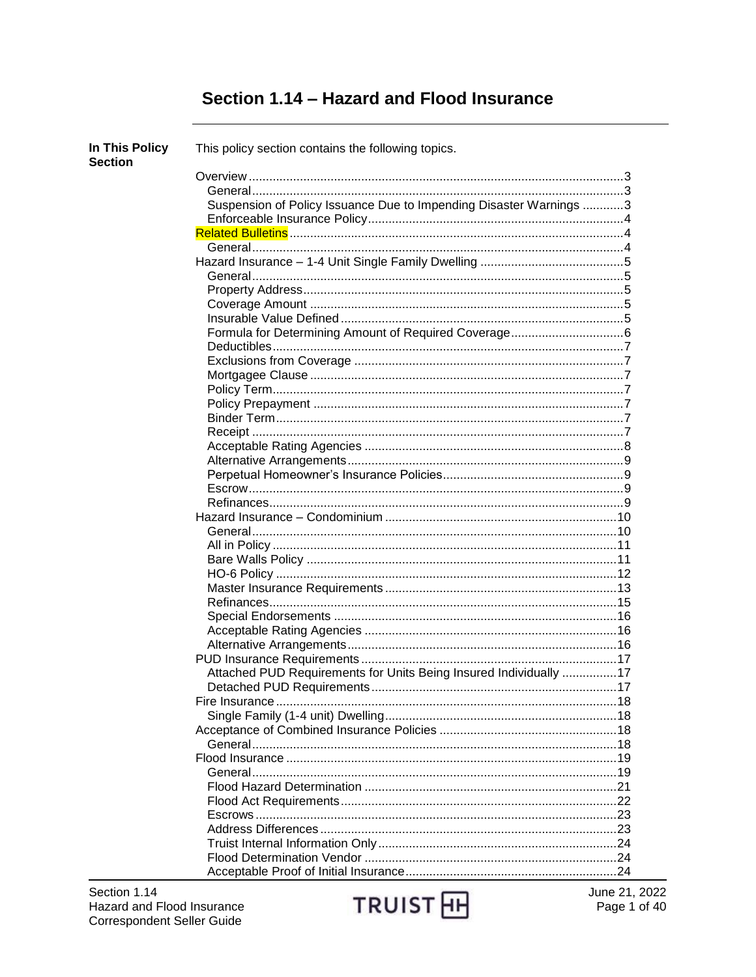# Section 1.14 - Hazard and Flood Insurance

| In This Policy<br><b>Section</b> | This policy section contains the following topics.                 |  |
|----------------------------------|--------------------------------------------------------------------|--|
|                                  |                                                                    |  |
|                                  |                                                                    |  |
|                                  | Suspension of Policy Issuance Due to Impending Disaster Warnings 3 |  |
|                                  |                                                                    |  |
|                                  |                                                                    |  |
|                                  |                                                                    |  |
|                                  |                                                                    |  |
|                                  |                                                                    |  |
|                                  |                                                                    |  |
|                                  |                                                                    |  |
|                                  |                                                                    |  |
|                                  |                                                                    |  |
|                                  |                                                                    |  |
|                                  |                                                                    |  |
|                                  |                                                                    |  |
|                                  |                                                                    |  |
|                                  |                                                                    |  |
|                                  |                                                                    |  |
|                                  |                                                                    |  |
|                                  |                                                                    |  |
|                                  |                                                                    |  |
|                                  |                                                                    |  |
|                                  |                                                                    |  |
|                                  |                                                                    |  |
|                                  |                                                                    |  |
|                                  |                                                                    |  |
|                                  |                                                                    |  |
|                                  |                                                                    |  |
|                                  |                                                                    |  |
|                                  |                                                                    |  |
|                                  |                                                                    |  |
|                                  |                                                                    |  |
|                                  |                                                                    |  |
|                                  |                                                                    |  |
|                                  |                                                                    |  |
|                                  | Attached PUD Requirements for Units Being Insured Individually 17  |  |
|                                  |                                                                    |  |
|                                  |                                                                    |  |
|                                  |                                                                    |  |
|                                  |                                                                    |  |
|                                  |                                                                    |  |
|                                  |                                                                    |  |
|                                  |                                                                    |  |
|                                  |                                                                    |  |
|                                  |                                                                    |  |
|                                  |                                                                    |  |
|                                  |                                                                    |  |
|                                  |                                                                    |  |
|                                  |                                                                    |  |
|                                  |                                                                    |  |

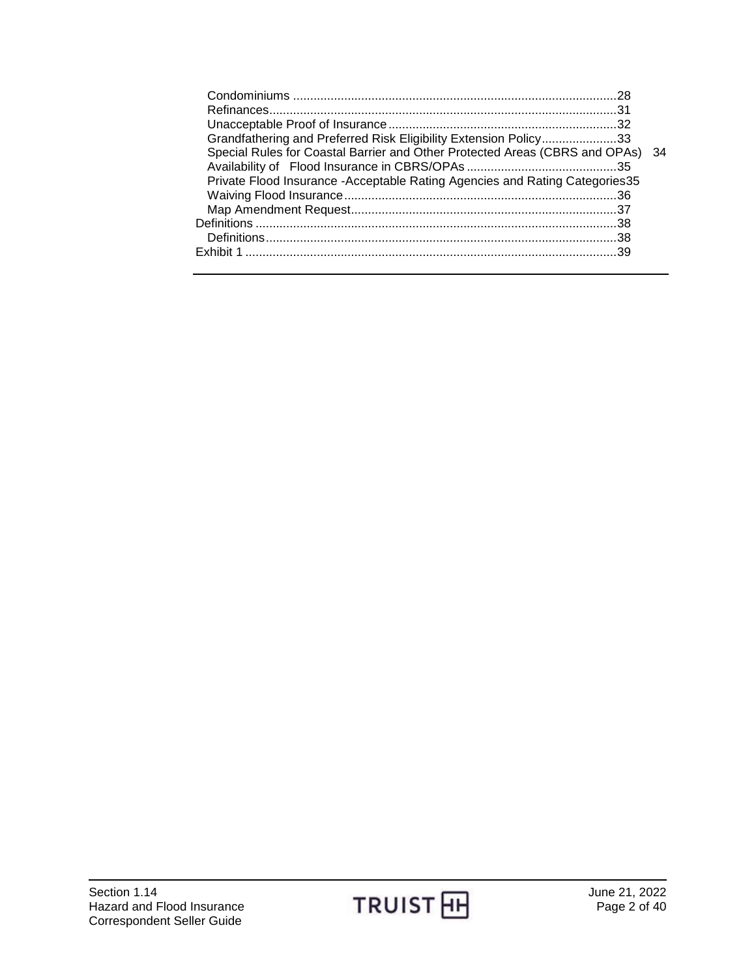| Grandfathering and Preferred Risk Eligibility Extension Policy33               |  |
|--------------------------------------------------------------------------------|--|
| Special Rules for Coastal Barrier and Other Protected Areas (CBRS and OPAs) 34 |  |
|                                                                                |  |
| Private Flood Insurance - Acceptable Rating Agencies and Rating Categories 35  |  |
|                                                                                |  |
|                                                                                |  |
|                                                                                |  |
|                                                                                |  |
|                                                                                |  |
|                                                                                |  |

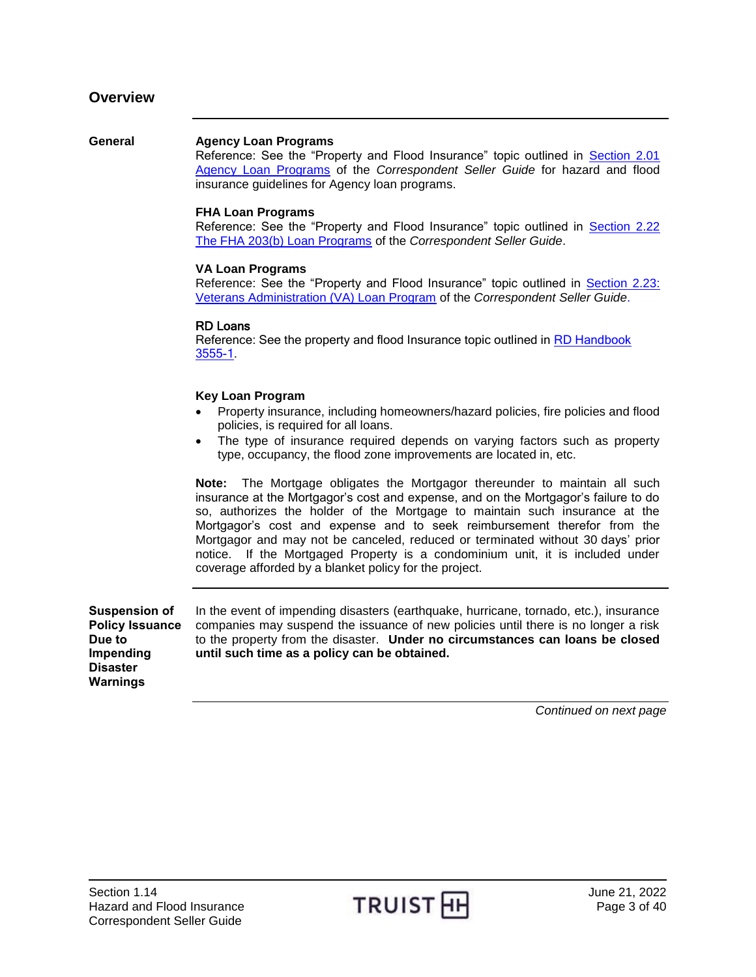#### <span id="page-2-1"></span><span id="page-2-0"></span>**General Agency Loan Programs**

Reference: See the "Property and Flood Insurance" topic outlined in [Section 2.01](https://www.truistsellerguide.com/manual/cor/products/CAgency.pdf)  [Agency Loan Programs](https://www.truistsellerguide.com/manual/cor/products/CAgency.pdf) of the *Correspondent Seller Guide* for hazard and flood insurance guidelines for Agency loan programs.

#### **FHA Loan Programs**

Reference: See the "Property and Flood Insurance" topic outlined in [Section 2.22](https://www.truistsellerguide.com/manual/cor/products/CFHA.pdf)  [The FHA 203\(b\) Loan Programs](https://www.truistsellerguide.com/manual/cor/products/CFHA.pdf) of the *Correspondent Seller Guide*.

#### **VA Loan Programs**

Reference: See the "Property and Flood Insurance" topic outlined in [Section 2.23:](https://www.truistsellerguide.com/manual/cor/products/CVA.pdf)  [Veterans Administration \(VA\) Loan Program](https://www.truistsellerguide.com/manual/cor/products/CVA.pdf) of the *Correspondent Seller Guide*.

#### RD Loans

Reference: See the property and flood Insurance topic outlined in RD Handbook [3555-1.](https://www.rd.usda.gov/resources/directives/handbooks)

#### **Key Loan Program**

- Property insurance, including homeowners/hazard policies, fire policies and flood policies, is required for all loans.
- The type of insurance required depends on varying factors such as property type, occupancy, the flood zone improvements are located in, etc.

**Note:** The Mortgage obligates the Mortgagor thereunder to maintain all such insurance at the Mortgagor's cost and expense, and on the Mortgagor's failure to do so, authorizes the holder of the Mortgage to maintain such insurance at the Mortgagor's cost and expense and to seek reimbursement therefor from the Mortgagor and may not be canceled, reduced or terminated without 30 days' prior notice. If the Mortgaged Property is a condominium unit, it is included under coverage afforded by a blanket policy for the project.

<span id="page-2-2"></span>**Suspension of Policy Issuance Due to Impending Disaster Warnings**

In the event of impending disasters (earthquake, hurricane, tornado, etc.), insurance companies may suspend the issuance of new policies until there is no longer a risk to the property from the disaster. **Under no circumstances can loans be closed until such time as a policy can be obtained.**

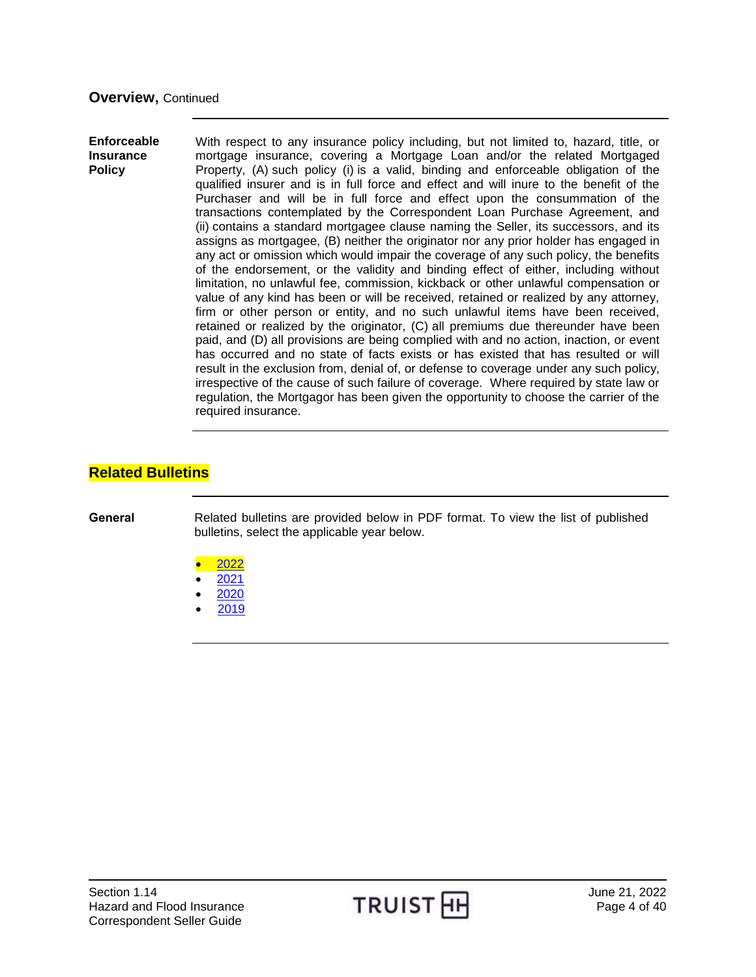#### <span id="page-3-0"></span>**Enforceable Insurance Policy** With respect to any insurance policy including, but not limited to, hazard, title, or mortgage insurance, covering a Mortgage Loan and/or the related Mortgaged Property, (A) such policy (i) is a valid, binding and enforceable obligation of the qualified insurer and is in full force and effect and will inure to the benefit of the Purchaser and will be in full force and effect upon the consummation of the transactions contemplated by the Correspondent Loan Purchase Agreement, and (ii) contains a standard mortgagee clause naming the Seller, its successors, and its assigns as mortgagee, (B) neither the originator nor any prior holder has engaged in any act or omission which would impair the coverage of any such policy, the benefits of the endorsement, or the validity and binding effect of either, including without limitation, no unlawful fee, commission, kickback or other unlawful compensation or value of any kind has been or will be received, retained or realized by any attorney, firm or other person or entity, and no such unlawful items have been received, retained or realized by the originator, (C) all premiums due thereunder have been paid, and (D) all provisions are being complied with and no action, inaction, or event has occurred and no state of facts exists or has existed that has resulted or will result in the exclusion from, denial of, or defense to coverage under any such policy, irrespective of the cause of such failure of coverage. Where required by state law or regulation, the Mortgagor has been given the opportunity to choose the carrier of the required insurance.

## <span id="page-3-1"></span>**Related Bulletins**

<span id="page-3-2"></span>**General** Related bulletins are provided below in PDF format. To view the list of published bulletins, select the applicable year below.

- [2022](http://www.truistsellerguide.com/manual/cor/bulletins/related%20bulletins/2022/CHazardFloodIns2022.pdf)
- [2021](http://www.truistsellerguide.com/manual/cor/bulletins/related%20bulletins/2021/CHazardFloodIns2021.pdf)
- [2020](http://www.truistsellerguide.com/manual/cor/bulletins/related%20bulletins/2020/CHazardFloodIns2020.pdf)
- [2019](http://www.truistsellerguide.com/manual/cor/bulletins/related%20bulletins/2019/CHazardFloodIns2019.pdf)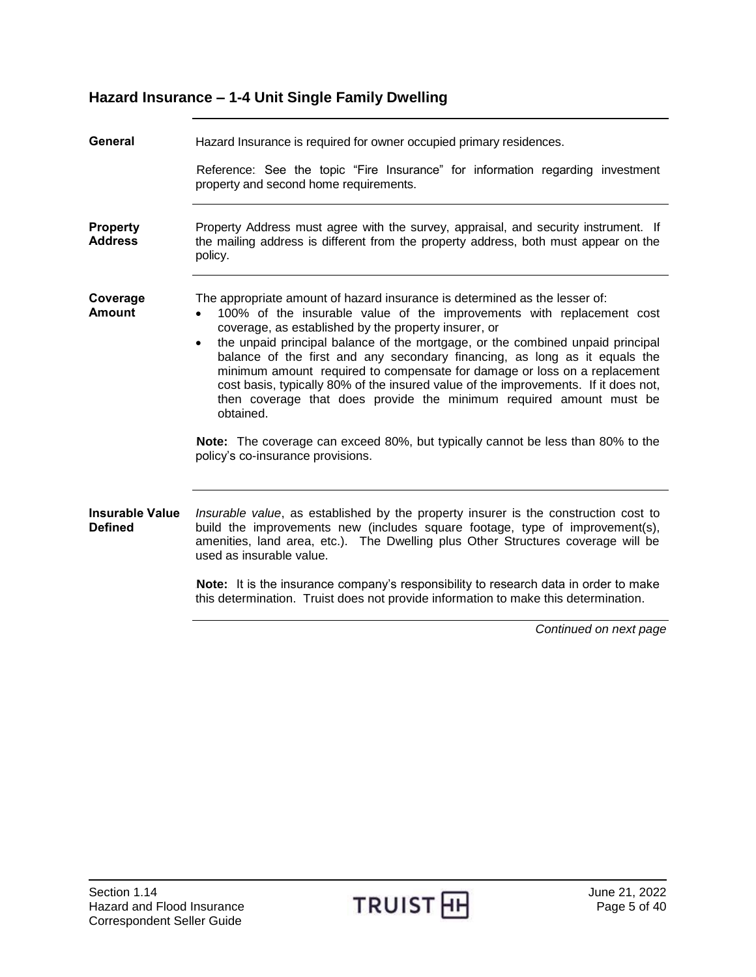<span id="page-4-4"></span><span id="page-4-3"></span><span id="page-4-2"></span><span id="page-4-1"></span><span id="page-4-0"></span>

| General                                  | Hazard Insurance is required for owner occupied primary residences.                                                                                                                                                                                                                                                                                                                                                                                                                                                                                                                                                                                                                                                                                                      |  |
|------------------------------------------|--------------------------------------------------------------------------------------------------------------------------------------------------------------------------------------------------------------------------------------------------------------------------------------------------------------------------------------------------------------------------------------------------------------------------------------------------------------------------------------------------------------------------------------------------------------------------------------------------------------------------------------------------------------------------------------------------------------------------------------------------------------------------|--|
|                                          | Reference: See the topic "Fire Insurance" for information regarding investment<br>property and second home requirements.                                                                                                                                                                                                                                                                                                                                                                                                                                                                                                                                                                                                                                                 |  |
| <b>Property</b><br><b>Address</b>        | Property Address must agree with the survey, appraisal, and security instrument. If<br>the mailing address is different from the property address, both must appear on the<br>policy.                                                                                                                                                                                                                                                                                                                                                                                                                                                                                                                                                                                    |  |
| Coverage<br><b>Amount</b>                | The appropriate amount of hazard insurance is determined as the lesser of:<br>100% of the insurable value of the improvements with replacement cost<br>coverage, as established by the property insurer, or<br>the unpaid principal balance of the mortgage, or the combined unpaid principal<br>$\bullet$<br>balance of the first and any secondary financing, as long as it equals the<br>minimum amount required to compensate for damage or loss on a replacement<br>cost basis, typically 80% of the insured value of the improvements. If it does not,<br>then coverage that does provide the minimum required amount must be<br>obtained.<br>Note: The coverage can exceed 80%, but typically cannot be less than 80% to the<br>policy's co-insurance provisions. |  |
|                                          |                                                                                                                                                                                                                                                                                                                                                                                                                                                                                                                                                                                                                                                                                                                                                                          |  |
| <b>Insurable Value</b><br><b>Defined</b> | Insurable value, as established by the property insurer is the construction cost to<br>build the improvements new (includes square footage, type of improvement(s),<br>amenities, land area, etc.). The Dwelling plus Other Structures coverage will be<br>used as insurable value.                                                                                                                                                                                                                                                                                                                                                                                                                                                                                      |  |
|                                          | Note: It is the insurance company's responsibility to research data in order to make<br>this determination. Truist does not provide information to make this determination.                                                                                                                                                                                                                                                                                                                                                                                                                                                                                                                                                                                              |  |
|                                          | Continued on next page                                                                                                                                                                                                                                                                                                                                                                                                                                                                                                                                                                                                                                                                                                                                                   |  |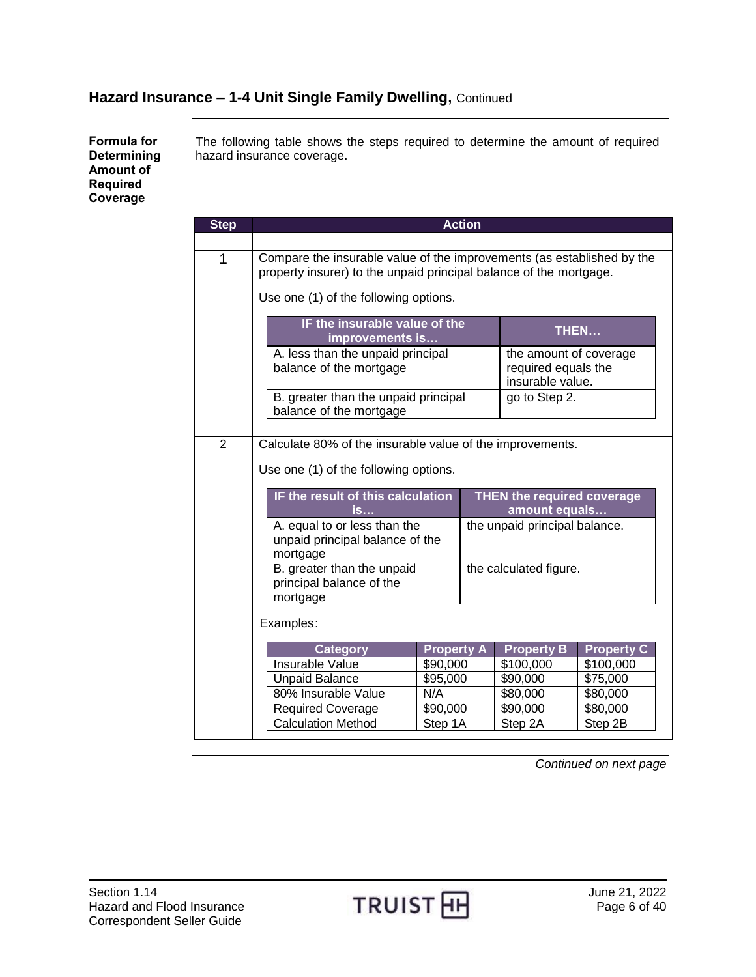<span id="page-5-0"></span>**Formula for Determining Amount of Required Coverage**

The following table shows the steps required to determine the amount of required hazard insurance coverage.

| <b>Step</b> |                                                                        |                   | <b>Action</b> |                               |                   |
|-------------|------------------------------------------------------------------------|-------------------|---------------|-------------------------------|-------------------|
|             |                                                                        |                   |               |                               |                   |
| 1           | Compare the insurable value of the improvements (as established by the |                   |               |                               |                   |
|             | property insurer) to the unpaid principal balance of the mortgage.     |                   |               |                               |                   |
|             | Use one (1) of the following options.                                  |                   |               |                               |                   |
|             |                                                                        |                   |               |                               |                   |
|             | IF the insurable value of the<br>improvements is                       |                   |               | THEN                          |                   |
|             | A. less than the unpaid principal                                      |                   |               | the amount of coverage        |                   |
|             | balance of the mortgage                                                |                   |               | required equals the           |                   |
|             |                                                                        |                   |               | insurable value.              |                   |
|             | B. greater than the unpaid principal<br>balance of the mortgage        |                   |               | go to Step 2.                 |                   |
|             |                                                                        |                   |               |                               |                   |
| 2           | Calculate 80% of the insurable value of the improvements.              |                   |               |                               |                   |
|             |                                                                        |                   |               |                               |                   |
|             | Use one (1) of the following options.                                  |                   |               |                               |                   |
|             | IF the result of this calculation<br><b>THEN the required coverage</b> |                   |               |                               |                   |
|             | <u>is</u>                                                              |                   |               | amount equals                 |                   |
|             | A. equal to or less than the                                           |                   |               | the unpaid principal balance. |                   |
|             | unpaid principal balance of the                                        |                   |               |                               |                   |
|             | mortgage                                                               |                   |               |                               |                   |
|             | B. greater than the unpaid<br>principal balance of the                 |                   |               | the calculated figure.        |                   |
|             | mortgage                                                               |                   |               |                               |                   |
|             |                                                                        |                   |               |                               |                   |
|             | Examples:                                                              |                   |               |                               |                   |
|             | <b>Category</b>                                                        | <b>Property A</b> |               | <b>Property B</b>             | <b>Property C</b> |
|             | Insurable Value                                                        | \$90,000          |               | \$100,000                     | \$100,000         |
|             | <b>Unpaid Balance</b>                                                  | \$95,000          |               | \$90,000                      | \$75,000          |
|             | 80% Insurable Value                                                    | N/A               |               | \$80,000                      | \$80,000          |
|             | <b>Required Coverage</b>                                               | \$90,000          |               | \$90,000                      | \$80,000          |
|             | <b>Calculation Method</b>                                              | Step 1A           |               | Step 2A                       | Step 2B           |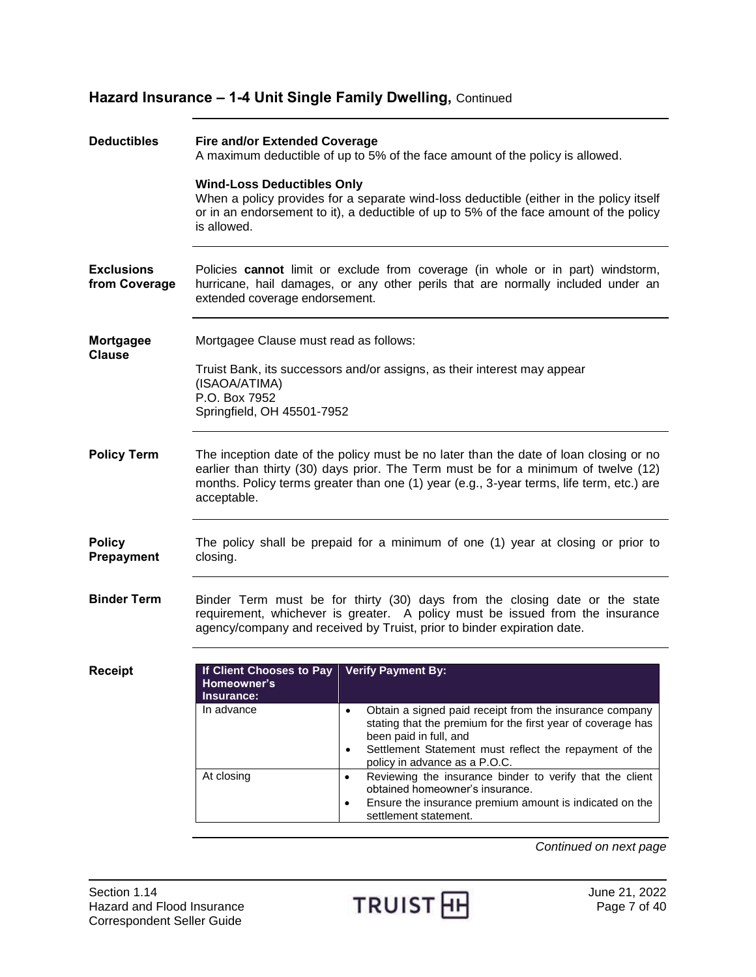<span id="page-6-4"></span><span id="page-6-3"></span><span id="page-6-2"></span><span id="page-6-1"></span><span id="page-6-0"></span>

| <b>Deductibles</b>                 | <b>Fire and/or Extended Coverage</b><br>A maximum deductible of up to 5% of the face amount of the policy is allowed.                                                                                                                                                                  |                                                                                                                                                                                                                                                                       |  |
|------------------------------------|----------------------------------------------------------------------------------------------------------------------------------------------------------------------------------------------------------------------------------------------------------------------------------------|-----------------------------------------------------------------------------------------------------------------------------------------------------------------------------------------------------------------------------------------------------------------------|--|
|                                    | <b>Wind-Loss Deductibles Only</b><br>is allowed.                                                                                                                                                                                                                                       | When a policy provides for a separate wind-loss deductible (either in the policy itself<br>or in an endorsement to it), a deductible of up to 5% of the face amount of the policy                                                                                     |  |
| <b>Exclusions</b><br>from Coverage | extended coverage endorsement.                                                                                                                                                                                                                                                         | Policies cannot limit or exclude from coverage (in whole or in part) windstorm,<br>hurricane, hail damages, or any other perils that are normally included under an                                                                                                   |  |
| <b>Mortgagee</b><br><b>Clause</b>  | Mortgagee Clause must read as follows:                                                                                                                                                                                                                                                 |                                                                                                                                                                                                                                                                       |  |
|                                    | Truist Bank, its successors and/or assigns, as their interest may appear<br>(ISAOA/ATIMA)<br>P.O. Box 7952<br>Springfield, OH 45501-7952                                                                                                                                               |                                                                                                                                                                                                                                                                       |  |
| <b>Policy Term</b>                 | The inception date of the policy must be no later than the date of loan closing or no<br>earlier than thirty (30) days prior. The Term must be for a minimum of twelve (12)<br>months. Policy terms greater than one (1) year (e.g., 3-year terms, life term, etc.) are<br>acceptable. |                                                                                                                                                                                                                                                                       |  |
| <b>Policy</b><br><b>Prepayment</b> | closing.                                                                                                                                                                                                                                                                               | The policy shall be prepaid for a minimum of one (1) year at closing or prior to                                                                                                                                                                                      |  |
| <b>Binder Term</b>                 |                                                                                                                                                                                                                                                                                        | Binder Term must be for thirty (30) days from the closing date or the state<br>requirement, whichever is greater. A policy must be issued from the insurance<br>agency/company and received by Truist, prior to binder expiration date.                               |  |
| <b>Receipt</b>                     | If Client Chooses to Pay Verify Payment By:<br>Homeowner's<br>Insurance:                                                                                                                                                                                                               |                                                                                                                                                                                                                                                                       |  |
|                                    | In advance                                                                                                                                                                                                                                                                             | Obtain a signed paid receipt from the insurance company<br>$\bullet$<br>stating that the premium for the first year of coverage has<br>been paid in full, and<br>Settlement Statement must reflect the repayment of the<br>$\bullet$<br>policy in advance as a P.O.C. |  |
|                                    | At closing                                                                                                                                                                                                                                                                             | Reviewing the insurance binder to verify that the client<br>$\bullet$<br>obtained homeowner's insurance.<br>Ensure the insurance premium amount is indicated on the<br>$\bullet$<br>settlement statement.                                                             |  |

<span id="page-6-6"></span><span id="page-6-5"></span>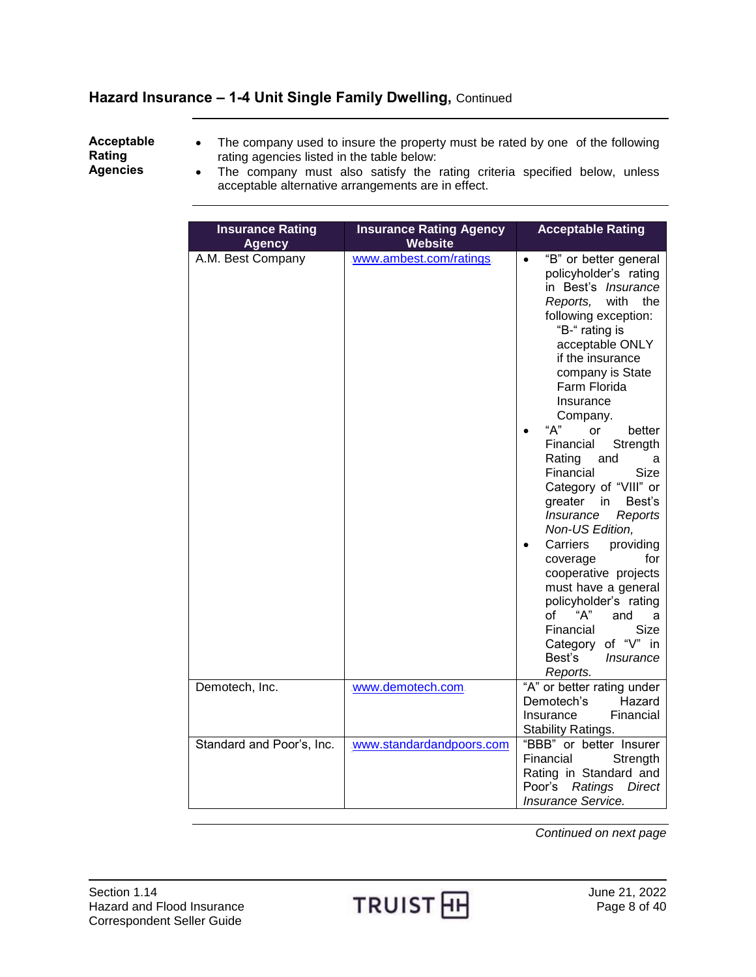# <span id="page-7-0"></span>**Acceptable Rating**

- The company used to insure the property must be rated by one of the following rating agencies listed in the table below:
- **Agencies**
- The company must also satisfy the rating criteria specified below, unless acceptable alternative arrangements are in effect.

| <b>Insurance Rating</b><br><b>Agency</b> | <b>Insurance Rating Agency</b><br><b>Website</b> | <b>Acceptable Rating</b>                                                                                                                                                                                                                                                                                                                                                                                                                                                                                                                                                                                                                                                                                 |
|------------------------------------------|--------------------------------------------------|----------------------------------------------------------------------------------------------------------------------------------------------------------------------------------------------------------------------------------------------------------------------------------------------------------------------------------------------------------------------------------------------------------------------------------------------------------------------------------------------------------------------------------------------------------------------------------------------------------------------------------------------------------------------------------------------------------|
| A.M. Best Company                        | www.ambest.com/ratings.                          | "B" or better general<br>$\bullet$<br>policyholder's rating<br>in Best's Insurance<br>with the<br>Reports,<br>following exception:<br>"B-" rating is<br>acceptable ONLY<br>if the insurance<br>company is State<br>Farm Florida<br>Insurance<br>Company.<br>A''<br>or<br>better<br>Financial<br>Strength<br>Rating<br>and<br>a<br>Financial<br>Size<br>Category of "VIII" or<br>Best's<br>greater<br>in<br><i><b>Insurance</b></i><br>Reports<br>Non-US Edition,<br>providing<br>Carriers<br>$\bullet$<br>for<br>coverage<br>cooperative projects<br>must have a general<br>policyholder's rating<br>"A"<br>of<br>and<br>a<br>Financial<br>Size<br>Category of "V" in<br>Best's<br>Insurance<br>Reports. |
| Demotech, Inc.                           | www.demotech.com                                 | "A" or better rating under<br>Hazard<br>Demotech's<br>Financial<br>Insurance<br>Stability Ratings.                                                                                                                                                                                                                                                                                                                                                                                                                                                                                                                                                                                                       |
| Standard and Poor's, Inc.                | www.standardandpoors.com                         | "BBB" or better Insurer<br>Financial<br>Strength<br>Rating in Standard and<br>Poor's<br>Ratings<br>Direct<br>Insurance Service.                                                                                                                                                                                                                                                                                                                                                                                                                                                                                                                                                                          |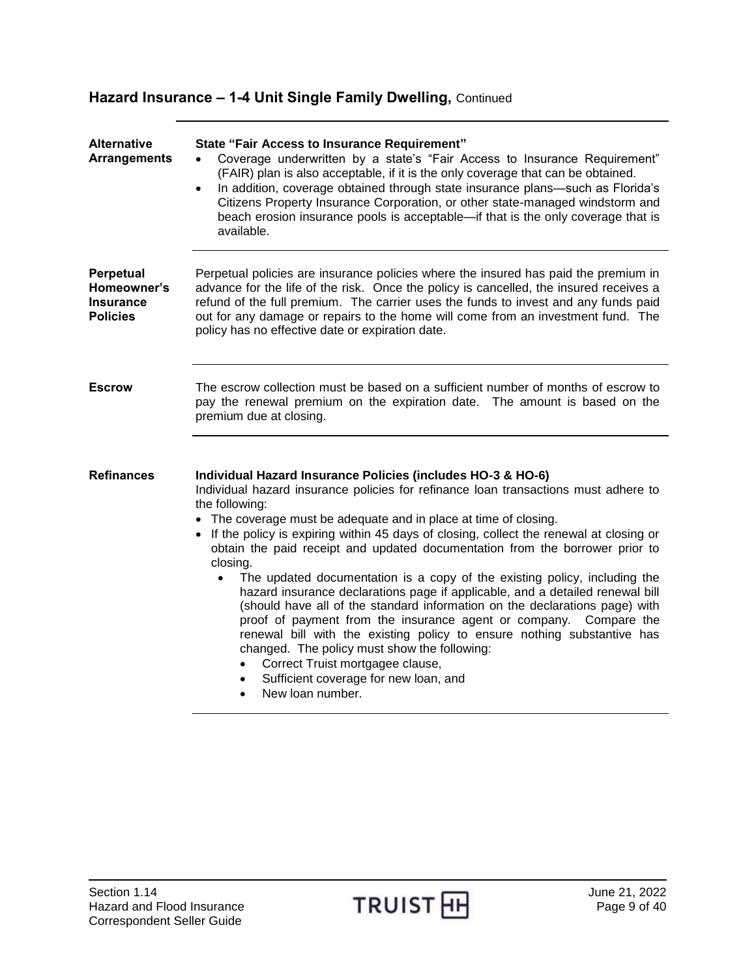<span id="page-8-3"></span><span id="page-8-2"></span><span id="page-8-1"></span><span id="page-8-0"></span>

| <b>Alternative</b><br><b>Arrangements</b>                       | <b>State "Fair Access to Insurance Requirement"</b><br>Coverage underwritten by a state's "Fair Access to Insurance Requirement"<br>$\bullet$<br>(FAIR) plan is also acceptable, if it is the only coverage that can be obtained.<br>In addition, coverage obtained through state insurance plans—such as Florida's<br>$\bullet$<br>Citizens Property Insurance Corporation, or other state-managed windstorm and<br>beach erosion insurance pools is acceptable-if that is the only coverage that is<br>available.                                                                                                                                                                                                                                                                                                                                                                                                                                                                                    |
|-----------------------------------------------------------------|--------------------------------------------------------------------------------------------------------------------------------------------------------------------------------------------------------------------------------------------------------------------------------------------------------------------------------------------------------------------------------------------------------------------------------------------------------------------------------------------------------------------------------------------------------------------------------------------------------------------------------------------------------------------------------------------------------------------------------------------------------------------------------------------------------------------------------------------------------------------------------------------------------------------------------------------------------------------------------------------------------|
| Perpetual<br>Homeowner's<br><b>Insurance</b><br><b>Policies</b> | Perpetual policies are insurance policies where the insured has paid the premium in<br>advance for the life of the risk. Once the policy is cancelled, the insured receives a<br>refund of the full premium. The carrier uses the funds to invest and any funds paid<br>out for any damage or repairs to the home will come from an investment fund. The<br>policy has no effective date or expiration date.                                                                                                                                                                                                                                                                                                                                                                                                                                                                                                                                                                                           |
| <b>Escrow</b>                                                   | The escrow collection must be based on a sufficient number of months of escrow to<br>pay the renewal premium on the expiration date. The amount is based on the<br>premium due at closing.                                                                                                                                                                                                                                                                                                                                                                                                                                                                                                                                                                                                                                                                                                                                                                                                             |
| <b>Refinances</b>                                               | Individual Hazard Insurance Policies (includes HO-3 & HO-6)<br>Individual hazard insurance policies for refinance loan transactions must adhere to<br>the following:<br>• The coverage must be adequate and in place at time of closing.<br>If the policy is expiring within 45 days of closing, collect the renewal at closing or<br>obtain the paid receipt and updated documentation from the borrower prior to<br>closing.<br>The updated documentation is a copy of the existing policy, including the<br>$\bullet$<br>hazard insurance declarations page if applicable, and a detailed renewal bill<br>(should have all of the standard information on the declarations page) with<br>proof of payment from the insurance agent or company. Compare the<br>renewal bill with the existing policy to ensure nothing substantive has<br>changed. The policy must show the following:<br>Correct Truist mortgagee clause,<br>Sufficient coverage for new loan, and<br>$\bullet$<br>New loan number. |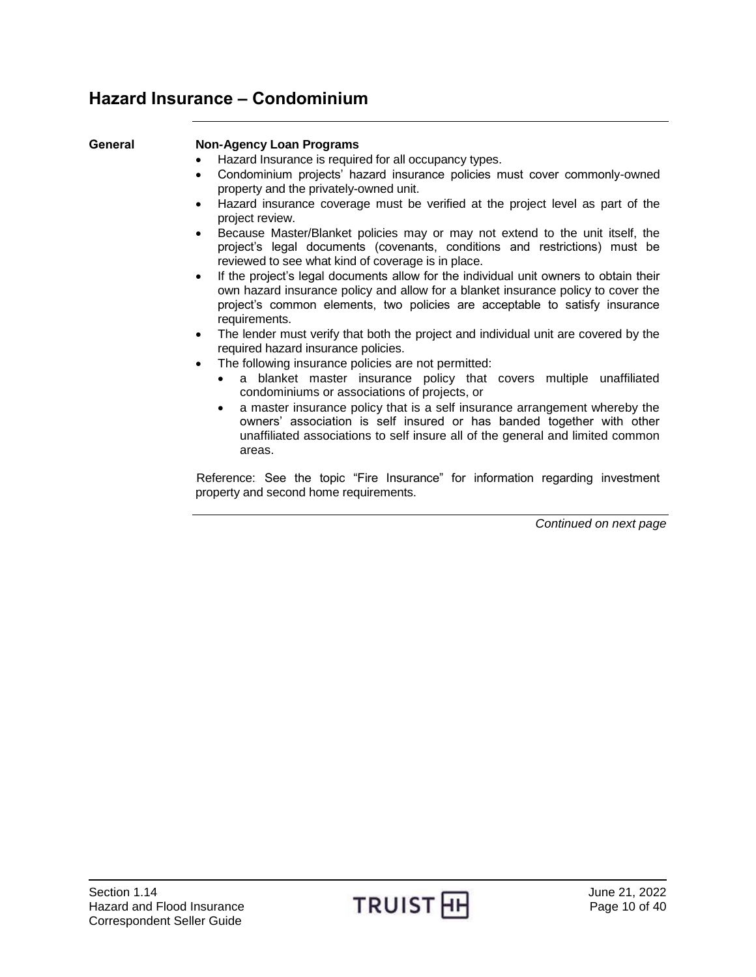# <span id="page-9-0"></span>**Hazard Insurance – Condominium**

### <span id="page-9-1"></span>**General Non-Agency Loan Programs**

- Hazard Insurance is required for all occupancy types.
- Condominium projects' hazard insurance policies must cover commonly-owned property and the privately-owned unit.
- Hazard insurance coverage must be verified at the project level as part of the project review.
- Because Master/Blanket policies may or may not extend to the unit itself, the project's legal documents (covenants, conditions and restrictions) must be reviewed to see what kind of coverage is in place.
- If the project's legal documents allow for the individual unit owners to obtain their own hazard insurance policy and allow for a blanket insurance policy to cover the project's common elements, two policies are acceptable to satisfy insurance requirements.
- The lender must verify that both the project and individual unit are covered by the required hazard insurance policies.
- The following insurance policies are not permitted:
	- a blanket master insurance policy that covers multiple unaffiliated condominiums or associations of projects, or
	- a master insurance policy that is a self insurance arrangement whereby the owners' association is self insured or has banded together with other unaffiliated associations to self insure all of the general and limited common areas.

Reference: See the topic "Fire Insurance" for information regarding investment property and second home requirements.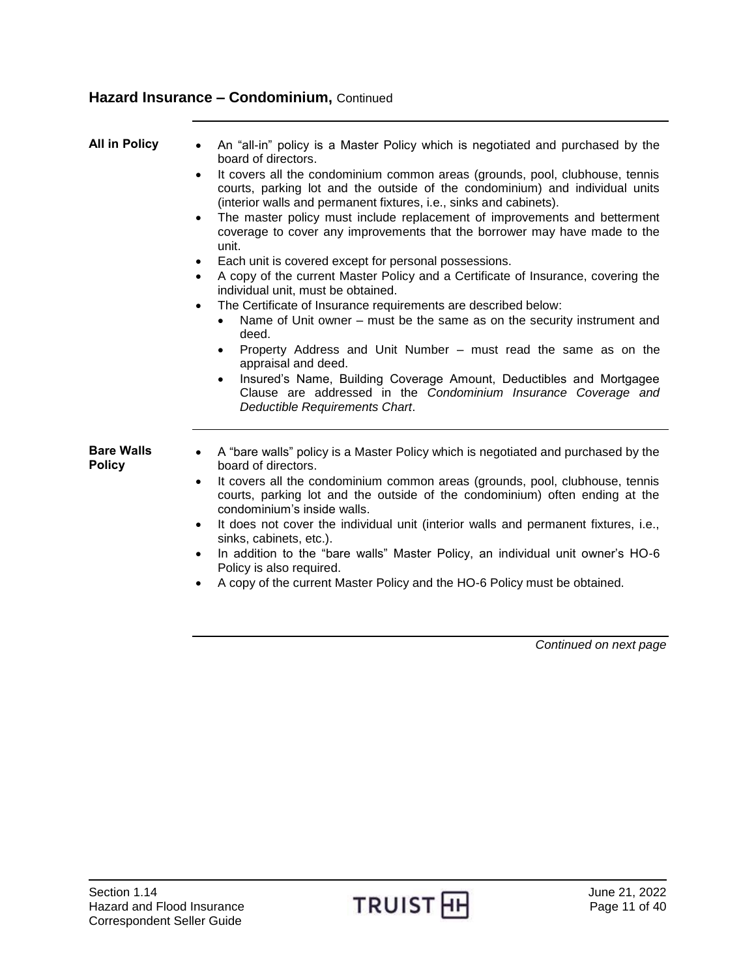<span id="page-10-1"></span><span id="page-10-0"></span>

| <b>All in Policy</b>               | An "all-in" policy is a Master Policy which is negotiated and purchased by the<br>$\bullet$<br>board of directors.<br>It covers all the condominium common areas (grounds, pool, clubhouse, tennis<br>$\bullet$<br>courts, parking lot and the outside of the condominium) and individual units<br>(interior walls and permanent fixtures, i.e., sinks and cabinets).<br>The master policy must include replacement of improvements and betterment<br>$\bullet$<br>coverage to cover any improvements that the borrower may have made to the<br>unit.<br>Each unit is covered except for personal possessions.<br>A copy of the current Master Policy and a Certificate of Insurance, covering the<br>$\bullet$<br>individual unit, must be obtained.<br>The Certificate of Insurance requirements are described below:<br>$\bullet$<br>Name of Unit owner – must be the same as on the security instrument and<br>deed.<br>Property Address and Unit Number – must read the same as on the<br>$\bullet$<br>appraisal and deed.<br>Insured's Name, Building Coverage Amount, Deductibles and Mortgagee<br>Clause are addressed in the Condominium Insurance Coverage and<br>Deductible Requirements Chart. |
|------------------------------------|------------------------------------------------------------------------------------------------------------------------------------------------------------------------------------------------------------------------------------------------------------------------------------------------------------------------------------------------------------------------------------------------------------------------------------------------------------------------------------------------------------------------------------------------------------------------------------------------------------------------------------------------------------------------------------------------------------------------------------------------------------------------------------------------------------------------------------------------------------------------------------------------------------------------------------------------------------------------------------------------------------------------------------------------------------------------------------------------------------------------------------------------------------------------------------------------------------|
| <b>Bare Walls</b><br><b>Policy</b> | A "bare walls" policy is a Master Policy which is negotiated and purchased by the<br>board of directors.<br>It covers all the condominium common areas (grounds, pool, clubhouse, tennis<br>$\bullet$<br>courts, parking lot and the outside of the condominium) often ending at the<br>condominium's inside walls.<br>It does not cover the individual unit (interior walls and permanent fixtures, i.e.,<br>$\bullet$<br>sinks, cabinets, etc.).<br>In addition to the "bare walls" Master Policy, an individual unit owner's HO-6<br>$\bullet$<br>Policy is also required.<br>A copy of the current Master Policy and the HO-6 Policy must be obtained.                                                                                                                                                                                                                                                                                                                                                                                                                                                                                                                                                 |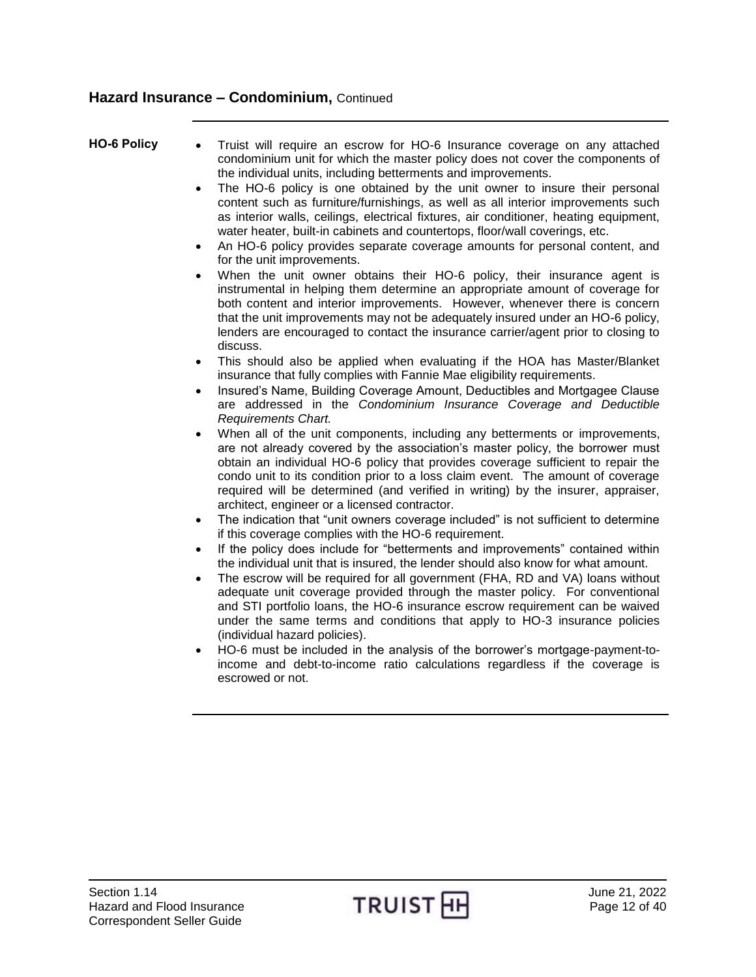- <span id="page-11-0"></span>**HO-6 Policy** Truist will require an escrow for HO-6 Insurance coverage on any attached condominium unit for which the master policy does not cover the components of the individual units, including betterments and improvements.
	- The HO-6 policy is one obtained by the unit owner to insure their personal content such as furniture/furnishings, as well as all interior improvements such as interior walls, ceilings, electrical fixtures, air conditioner, heating equipment, water heater, built-in cabinets and countertops, floor/wall coverings, etc.
	- An HO-6 policy provides separate coverage amounts for personal content, and for the unit improvements.
	- When the unit owner obtains their HO-6 policy, their insurance agent is instrumental in helping them determine an appropriate amount of coverage for both content and interior improvements. However, whenever there is concern that the unit improvements may not be adequately insured under an HO-6 policy, lenders are encouraged to contact the insurance carrier/agent prior to closing to discuss.
	- This should also be applied when evaluating if the HOA has Master/Blanket insurance that fully complies with Fannie Mae eligibility requirements.
	- Insured's Name, Building Coverage Amount, Deductibles and Mortgagee Clause are addressed in the *Condominium Insurance Coverage and Deductible Requirements Chart.*
	- When all of the unit components, including any betterments or improvements, are not already covered by the association's master policy, the borrower must obtain an individual HO-6 policy that provides coverage sufficient to repair the condo unit to its condition prior to a loss claim event. The amount of coverage required will be determined (and verified in writing) by the insurer, appraiser, architect, engineer or a licensed contractor.
	- The indication that "unit owners coverage included" is not sufficient to determine if this coverage complies with the HO-6 requirement.
	- If the policy does include for "betterments and improvements" contained within the individual unit that is insured, the lender should also know for what amount.
	- The escrow will be required for all government (FHA, RD and VA) loans without adequate unit coverage provided through the master policy. For conventional and STI portfolio loans, the HO-6 insurance escrow requirement can be waived under the same terms and conditions that apply to HO-3 insurance policies (individual hazard policies).
	- HO-6 must be included in the analysis of the borrower's mortgage-payment-toincome and debt-to-income ratio calculations regardless if the coverage is escrowed or not.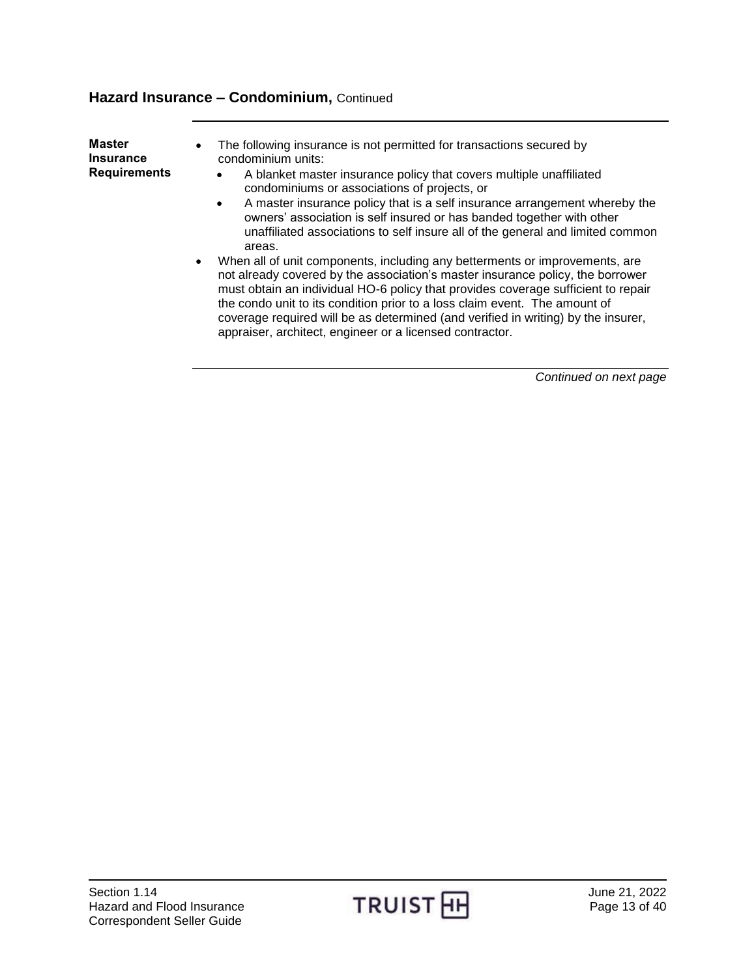<span id="page-12-0"></span>

| <b>Master</b><br><b>Insurance</b><br><b>Requirements</b> | The following insurance is not permitted for transactions secured by<br>٠<br>condominium units:<br>A blanket master insurance policy that covers multiple unaffiliated<br>condominiums or associations of projects, or<br>A master insurance policy that is a self insurance arrangement whereby the<br>owners' association is self insured or has banded together with other<br>unaffiliated associations to self insure all of the general and limited common<br>areas.<br>When all of unit components, including any betterments or improvements, are<br>$\bullet$<br>not already covered by the association's master insurance policy, the borrower<br>must obtain an individual HO-6 policy that provides coverage sufficient to repair<br>the condo unit to its condition prior to a loss claim event. The amount of |
|----------------------------------------------------------|----------------------------------------------------------------------------------------------------------------------------------------------------------------------------------------------------------------------------------------------------------------------------------------------------------------------------------------------------------------------------------------------------------------------------------------------------------------------------------------------------------------------------------------------------------------------------------------------------------------------------------------------------------------------------------------------------------------------------------------------------------------------------------------------------------------------------|
|                                                          | coverage required will be as determined (and verified in writing) by the insurer,<br>appraiser, architect, engineer or a licensed contractor.                                                                                                                                                                                                                                                                                                                                                                                                                                                                                                                                                                                                                                                                              |

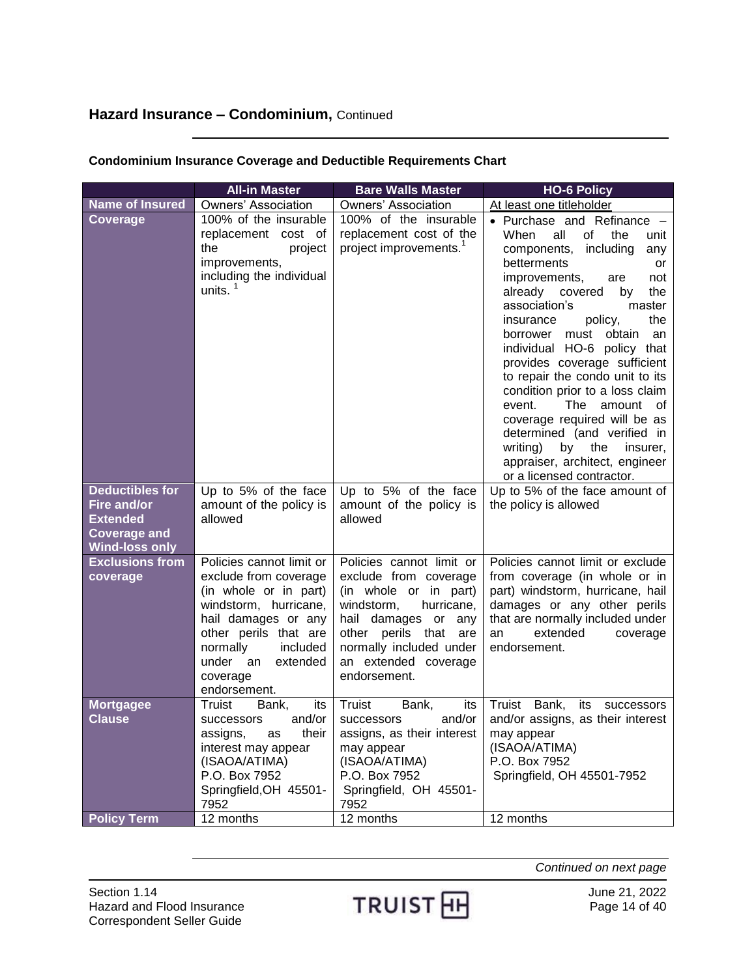|                                                                                | <b>All-in Master</b>                                                                                                                                                                                                            | <b>Bare Walls Master</b>                                                                                                                                                                                                  | <b>HO-6 Policy</b>                                                                                                                                                                                                                                                                                                                                                                                                                                                                                                                                                                                                                                 |
|--------------------------------------------------------------------------------|---------------------------------------------------------------------------------------------------------------------------------------------------------------------------------------------------------------------------------|---------------------------------------------------------------------------------------------------------------------------------------------------------------------------------------------------------------------------|----------------------------------------------------------------------------------------------------------------------------------------------------------------------------------------------------------------------------------------------------------------------------------------------------------------------------------------------------------------------------------------------------------------------------------------------------------------------------------------------------------------------------------------------------------------------------------------------------------------------------------------------------|
| <b>Name of Insured</b>                                                         | <b>Owners' Association</b>                                                                                                                                                                                                      | Owners' Association                                                                                                                                                                                                       | At least one titleholder                                                                                                                                                                                                                                                                                                                                                                                                                                                                                                                                                                                                                           |
| <b>Coverage</b><br><b>Deductibles for</b>                                      | 100% of the insurable<br>replacement cost of<br>the<br>project<br>improvements,<br>including the individual<br>units. $1$<br>Up to 5% of the face                                                                               | 100% of the insurable<br>replacement cost of the<br>project improvements. <sup>1</sup><br>Up to 5% of the face                                                                                                            | • Purchase and Refinance -<br>all<br>of<br>When<br>the<br>unit<br>components, including<br>any<br>betterments<br>or<br>improvements,<br>not<br>are<br>already covered<br>by<br>the<br>association's<br>master<br>the<br>insurance<br>policy,<br>obtain<br>borrower must<br>an<br>individual HO-6 policy that<br>provides coverage sufficient<br>to repair the condo unit to its<br>condition prior to a loss claim<br>The<br>amount of<br>event.<br>coverage required will be as<br>determined (and verified in<br>writing)<br>by the<br>insurer,<br>appraiser, architect, engineer<br>or a licensed contractor.<br>Up to 5% of the face amount of |
| Fire and/or<br><b>Extended</b><br><b>Coverage and</b><br><b>Wind-loss only</b> | amount of the policy is<br>allowed                                                                                                                                                                                              | amount of the policy is<br>allowed                                                                                                                                                                                        | the policy is allowed                                                                                                                                                                                                                                                                                                                                                                                                                                                                                                                                                                                                                              |
| <b>Exclusions from</b><br>coverage                                             | Policies cannot limit or<br>exclude from coverage<br>(in whole or in part)<br>windstorm, hurricane,<br>hail damages or any<br>other perils that are<br>normally<br>included<br>under an<br>extended<br>coverage<br>endorsement. | Policies cannot limit or<br>exclude from coverage<br>(in whole or in part)<br>windstorm,<br>hurricane,<br>hail damages or any<br>other perils that are<br>normally included under<br>an extended coverage<br>endorsement. | Policies cannot limit or exclude<br>from coverage (in whole or in<br>part) windstorm, hurricane, hail<br>damages or any other perils<br>that are normally included under<br>extended<br>an<br>coverage<br>endorsement.                                                                                                                                                                                                                                                                                                                                                                                                                             |
| <b>Mortgagee</b><br><b>Clause</b>                                              | Truist<br>Bank,<br>its<br>and/or<br><b>SUCCESSORS</b><br>assigns,<br>their<br>as<br>interest may appear<br>(ISAOA/ATIMA)<br>P.O. Box 7952<br>Springfield, OH 45501-<br>7952                                                     | Truist<br>Bank,<br>its<br>and/or<br>successors<br>assigns, as their interest<br>may appear<br>(ISAOA/ATIMA)<br>P.O. Box 7952<br>Springfield, OH 45501-<br>7952                                                            | Bank,<br>Truist<br>its successors<br>and/or assigns, as their interest<br>may appear<br>(ISAOA/ATIMA)<br>P.O. Box 7952<br>Springfield, OH 45501-7952                                                                                                                                                                                                                                                                                                                                                                                                                                                                                               |
| <b>Policy Term</b>                                                             | 12 months                                                                                                                                                                                                                       | 12 months                                                                                                                                                                                                                 | 12 months                                                                                                                                                                                                                                                                                                                                                                                                                                                                                                                                                                                                                                          |

## **Condominium Insurance Coverage and Deductible Requirements Chart**

Section 1.14 June 21, 2022<br>Hazard and Flood Insurance **TRUIST HH** June 21, 2022<br>Correspondent Seller Cuide Hazard and Flood Insurance Correspondent Seller Guide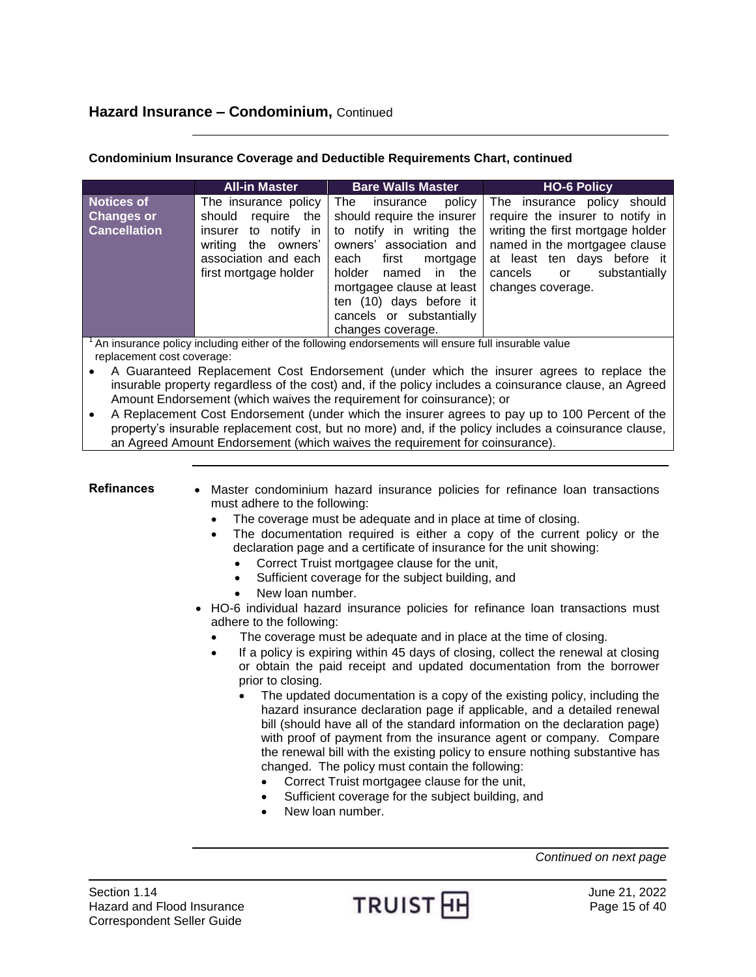|                                                               | <b>All-in Master</b>                                                                                                                                | <b>Bare Walls Master</b>                                                                                                                                                                                                                                                           | <b>HO-6 Policy</b>                                                                                                                                                                                                          |
|---------------------------------------------------------------|-----------------------------------------------------------------------------------------------------------------------------------------------------|------------------------------------------------------------------------------------------------------------------------------------------------------------------------------------------------------------------------------------------------------------------------------------|-----------------------------------------------------------------------------------------------------------------------------------------------------------------------------------------------------------------------------|
| <b>Notices of</b><br><b>Changes or</b><br><b>Cancellation</b> | The insurance policy<br>require the<br>should<br>to notify in<br>insurer<br>the owners'<br>writing<br>association and each<br>first mortgage holder | The<br>policy<br>insurance<br>should require the insurer<br>to notify in writing the<br>owners' association and<br>each<br>first<br>mortgage<br>holder<br>in the<br>named<br>mortgagee clause at least<br>ten (10) days before it<br>cancels or substantially<br>changes coverage. | The insurance policy should<br>require the insurer to notify in<br>writing the first mortgage holder<br>named in the mortgagee clause<br>at least ten days before it<br>substantially<br>cancels<br>or<br>changes coverage. |

## **Condominium Insurance Coverage and Deductible Requirements Chart, continued**

 $1$ An insurance policy including either of the following endorsements will ensure full insurable value replacement cost coverage:

 A Guaranteed Replacement Cost Endorsement (under which the insurer agrees to replace the insurable property regardless of the cost) and, if the policy includes a coinsurance clause, an Agreed Amount Endorsement (which waives the requirement for coinsurance); or

 A Replacement Cost Endorsement (under which the insurer agrees to pay up to 100 Percent of the property's insurable replacement cost, but no more) and, if the policy includes a coinsurance clause, an Agreed Amount Endorsement (which waives the requirement for coinsurance).

<span id="page-14-0"></span>**Refinances** . Master condominium hazard insurance policies for refinance loan transactions must adhere to the following:

- The coverage must be adequate and in place at time of closing.
- The documentation required is either a copy of the current policy or the declaration page and a certificate of insurance for the unit showing:
	- Correct Truist mortgagee clause for the unit,
	- Sufficient coverage for the subject building, and
	- New loan number.
- HO-6 individual hazard insurance policies for refinance loan transactions must adhere to the following:
	- The coverage must be adequate and in place at the time of closing.
	- If a policy is expiring within 45 days of closing, collect the renewal at closing or obtain the paid receipt and updated documentation from the borrower prior to closing.
		- The updated documentation is a copy of the existing policy, including the hazard insurance declaration page if applicable, and a detailed renewal bill (should have all of the standard information on the declaration page) with proof of payment from the insurance agent or company. Compare the renewal bill with the existing policy to ensure nothing substantive has changed. The policy must contain the following:
			- Correct Truist mortgagee clause for the unit,
			- Sufficient coverage for the subject building, and
			- New loan number.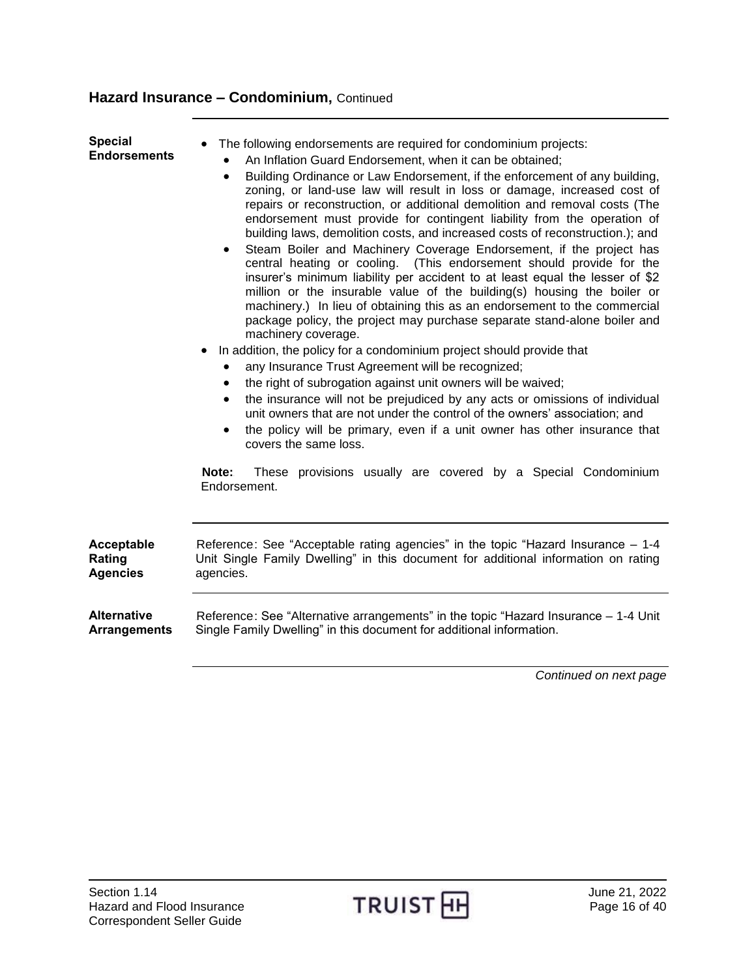<span id="page-15-2"></span><span id="page-15-1"></span><span id="page-15-0"></span>

| <b>Special</b><br><b>Endorsements</b> | The following endorsements are required for condominium projects:<br>An Inflation Guard Endorsement, when it can be obtained;<br>Building Ordinance or Law Endorsement, if the enforcement of any building,<br>$\bullet$<br>zoning, or land-use law will result in loss or damage, increased cost of<br>repairs or reconstruction, or additional demolition and removal costs (The<br>endorsement must provide for contingent liability from the operation of<br>building laws, demolition costs, and increased costs of reconstruction.); and<br>Steam Boiler and Machinery Coverage Endorsement, if the project has<br>$\bullet$<br>central heating or cooling. (This endorsement should provide for the<br>insurer's minimum liability per accident to at least equal the lesser of \$2<br>million or the insurable value of the building(s) housing the boiler or<br>machinery.) In lieu of obtaining this as an endorsement to the commercial<br>package policy, the project may purchase separate stand-alone boiler and<br>machinery coverage.<br>In addition, the policy for a condominium project should provide that<br>any Insurance Trust Agreement will be recognized;<br>the right of subrogation against unit owners will be waived;<br>$\bullet$<br>the insurance will not be prejudiced by any acts or omissions of individual<br>unit owners that are not under the control of the owners' association; and<br>the policy will be primary, even if a unit owner has other insurance that<br>$\bullet$<br>covers the same loss.<br>Note:<br>These provisions usually are covered by a Special Condominium<br>Endorsement. |
|---------------------------------------|--------------------------------------------------------------------------------------------------------------------------------------------------------------------------------------------------------------------------------------------------------------------------------------------------------------------------------------------------------------------------------------------------------------------------------------------------------------------------------------------------------------------------------------------------------------------------------------------------------------------------------------------------------------------------------------------------------------------------------------------------------------------------------------------------------------------------------------------------------------------------------------------------------------------------------------------------------------------------------------------------------------------------------------------------------------------------------------------------------------------------------------------------------------------------------------------------------------------------------------------------------------------------------------------------------------------------------------------------------------------------------------------------------------------------------------------------------------------------------------------------------------------------------------------------------------------------------------------------------------------------------------------|
| Acceptable                            | Reference: See "Acceptable rating agencies" in the topic "Hazard Insurance – 1-4                                                                                                                                                                                                                                                                                                                                                                                                                                                                                                                                                                                                                                                                                                                                                                                                                                                                                                                                                                                                                                                                                                                                                                                                                                                                                                                                                                                                                                                                                                                                                           |
| Rating                                | Unit Single Family Dwelling" in this document for additional information on rating                                                                                                                                                                                                                                                                                                                                                                                                                                                                                                                                                                                                                                                                                                                                                                                                                                                                                                                                                                                                                                                                                                                                                                                                                                                                                                                                                                                                                                                                                                                                                         |
| <b>Agencies</b>                       | agencies.                                                                                                                                                                                                                                                                                                                                                                                                                                                                                                                                                                                                                                                                                                                                                                                                                                                                                                                                                                                                                                                                                                                                                                                                                                                                                                                                                                                                                                                                                                                                                                                                                                  |
| <b>Alternative</b>                    | Reference: See "Alternative arrangements" in the topic "Hazard Insurance - 1-4 Unit                                                                                                                                                                                                                                                                                                                                                                                                                                                                                                                                                                                                                                                                                                                                                                                                                                                                                                                                                                                                                                                                                                                                                                                                                                                                                                                                                                                                                                                                                                                                                        |
| <b>Arrangements</b>                   | Single Family Dwelling" in this document for additional information.                                                                                                                                                                                                                                                                                                                                                                                                                                                                                                                                                                                                                                                                                                                                                                                                                                                                                                                                                                                                                                                                                                                                                                                                                                                                                                                                                                                                                                                                                                                                                                       |
|                                       | $\sim$ $\sim$ $\sim$<br>$\sim$ $\sim$ $\sim$                                                                                                                                                                                                                                                                                                                                                                                                                                                                                                                                                                                                                                                                                                                                                                                                                                                                                                                                                                                                                                                                                                                                                                                                                                                                                                                                                                                                                                                                                                                                                                                               |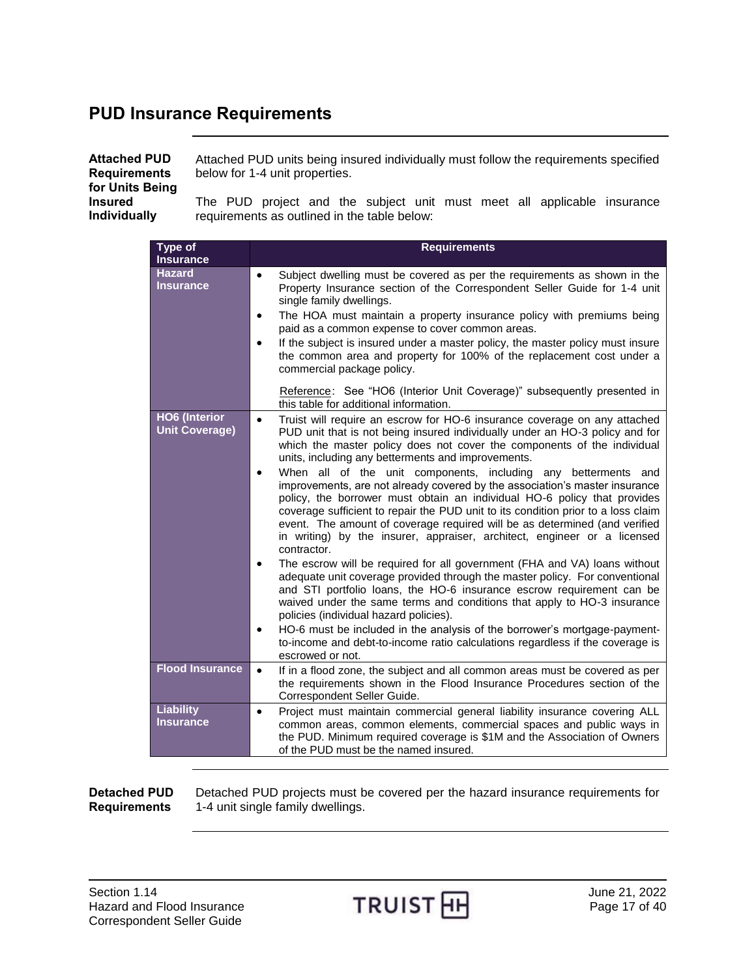# <span id="page-16-0"></span>**PUD Insurance Requirements**

<span id="page-16-1"></span>

| <b>Attached PUD</b><br><b>Requirements</b><br>for Units Being | Attached PUD units being insured individually must follow the requirements specified<br>below for 1-4 unit properties. |
|---------------------------------------------------------------|------------------------------------------------------------------------------------------------------------------------|
| <b>Insured</b>                                                | The PUD project and the subject unit must meet all applicable insurance                                                |
| <b>Individually</b>                                           | requirements as outlined in the table below:                                                                           |

| <b>Type of</b><br><b>Insurance</b>            | <b>Requirements</b>                                                                                                                                                                                                                                                                                                                                                                                                                                                                                                                                                                                                                                                                                                                                                                                                                                                                                                                                                                                                                                                                                                                                                                                                                                                                                                                                              |
|-----------------------------------------------|------------------------------------------------------------------------------------------------------------------------------------------------------------------------------------------------------------------------------------------------------------------------------------------------------------------------------------------------------------------------------------------------------------------------------------------------------------------------------------------------------------------------------------------------------------------------------------------------------------------------------------------------------------------------------------------------------------------------------------------------------------------------------------------------------------------------------------------------------------------------------------------------------------------------------------------------------------------------------------------------------------------------------------------------------------------------------------------------------------------------------------------------------------------------------------------------------------------------------------------------------------------------------------------------------------------------------------------------------------------|
| <b>Hazard</b><br><b>Insurance</b>             | Subject dwelling must be covered as per the requirements as shown in the<br>$\bullet$<br>Property Insurance section of the Correspondent Seller Guide for 1-4 unit<br>single family dwellings.<br>The HOA must maintain a property insurance policy with premiums being<br>$\bullet$<br>paid as a common expense to cover common areas.<br>If the subject is insured under a master policy, the master policy must insure<br>$\bullet$<br>the common area and property for 100% of the replacement cost under a<br>commercial package policy.                                                                                                                                                                                                                                                                                                                                                                                                                                                                                                                                                                                                                                                                                                                                                                                                                    |
|                                               | Reference: See "HO6 (Interior Unit Coverage)" subsequently presented in<br>this table for additional information.                                                                                                                                                                                                                                                                                                                                                                                                                                                                                                                                                                                                                                                                                                                                                                                                                                                                                                                                                                                                                                                                                                                                                                                                                                                |
| <b>HO6 (Interior</b><br><b>Unit Coverage)</b> | Truist will require an escrow for HO-6 insurance coverage on any attached<br>$\bullet$<br>PUD unit that is not being insured individually under an HO-3 policy and for<br>which the master policy does not cover the components of the individual<br>units, including any betterments and improvements.<br>When all of the unit components, including any betterments and<br>$\bullet$<br>improvements, are not already covered by the association's master insurance<br>policy, the borrower must obtain an individual HO-6 policy that provides<br>coverage sufficient to repair the PUD unit to its condition prior to a loss claim<br>event. The amount of coverage required will be as determined (and verified<br>in writing) by the insurer, appraiser, architect, engineer or a licensed<br>contractor.<br>The escrow will be required for all government (FHA and VA) loans without<br>adequate unit coverage provided through the master policy. For conventional<br>and STI portfolio loans, the HO-6 insurance escrow requirement can be<br>waived under the same terms and conditions that apply to HO-3 insurance<br>policies (individual hazard policies).<br>HO-6 must be included in the analysis of the borrower's mortgage-payment-<br>٠<br>to-income and debt-to-income ratio calculations regardless if the coverage is<br>escrowed or not. |
| <b>Flood Insurance</b>                        | If in a flood zone, the subject and all common areas must be covered as per<br>$\bullet$<br>the requirements shown in the Flood Insurance Procedures section of the<br>Correspondent Seller Guide.                                                                                                                                                                                                                                                                                                                                                                                                                                                                                                                                                                                                                                                                                                                                                                                                                                                                                                                                                                                                                                                                                                                                                               |
| <b>Liability</b><br><b>Insurance</b>          | Project must maintain commercial general liability insurance covering ALL<br>$\bullet$<br>common areas, common elements, commercial spaces and public ways in<br>the PUD. Minimum required coverage is \$1M and the Association of Owners<br>of the PUD must be the named insured.                                                                                                                                                                                                                                                                                                                                                                                                                                                                                                                                                                                                                                                                                                                                                                                                                                                                                                                                                                                                                                                                               |

<span id="page-16-2"></span>**Detached PUD Requirements**

Detached PUD projects must be covered per the hazard insurance requirements for 1-4 unit single family dwellings.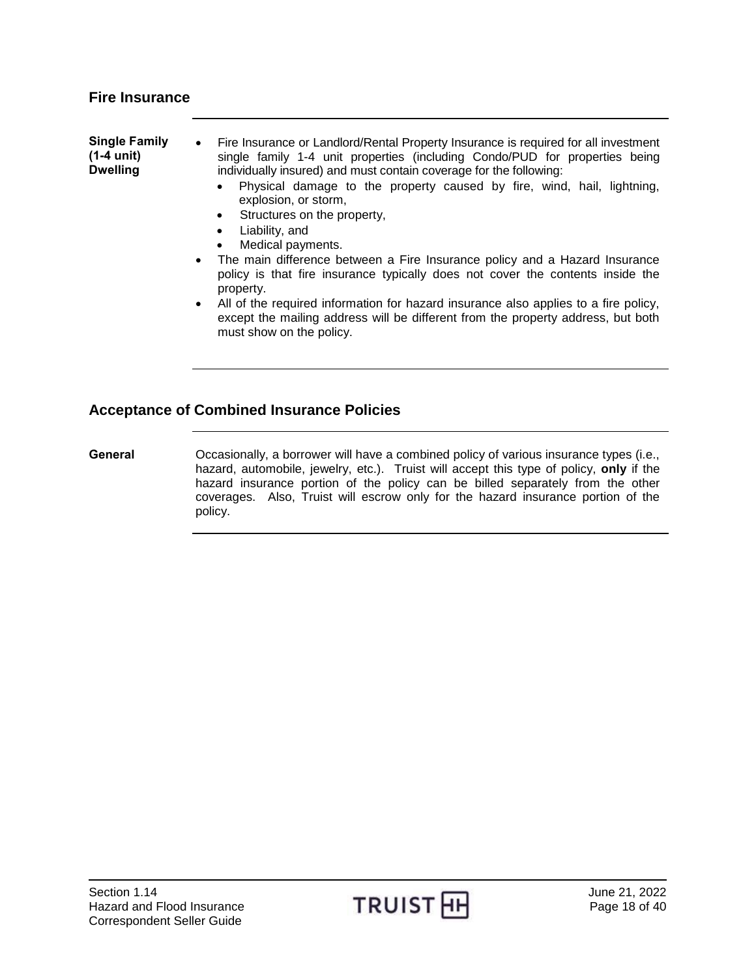<span id="page-17-1"></span><span id="page-17-0"></span>

| <b>Single Family</b><br>$(1-4 \text{ unit})$<br><b>Dwelling</b> | Fire Insurance or Landlord/Rental Property Insurance is required for all investment<br>$\bullet$<br>single family 1-4 unit properties (including Condo/PUD for properties being<br>individually insured) and must contain coverage for the following: |
|-----------------------------------------------------------------|-------------------------------------------------------------------------------------------------------------------------------------------------------------------------------------------------------------------------------------------------------|
|                                                                 | Physical damage to the property caused by fire, wind, hail, lightning,<br>explosion, or storm,<br>Structures on the property,<br>$\bullet$<br>Liability, and<br>$\bullet$                                                                             |
|                                                                 | Medical payments.<br>$\bullet$                                                                                                                                                                                                                        |
|                                                                 | The main difference between a Fire Insurance policy and a Hazard Insurance<br>$\bullet$<br>policy is that fire insurance typically does not cover the contents inside the<br>property.                                                                |
|                                                                 | . All of the required information for bezard incurance also enalize to a fire policy                                                                                                                                                                  |

 All of the required information for hazard insurance also applies to a fire policy, except the mailing address will be different from the property address, but both must show on the policy.

## <span id="page-17-2"></span>**Acceptance of Combined Insurance Policies**

<span id="page-17-3"></span>General **Conditionally**, a borrower will have a combined policy of various insurance types (i.e., hazard, automobile, jewelry, etc.). Truist will accept this type of policy, **only** if the hazard insurance portion of the policy can be billed separately from the other coverages. Also, Truist will escrow only for the hazard insurance portion of the policy.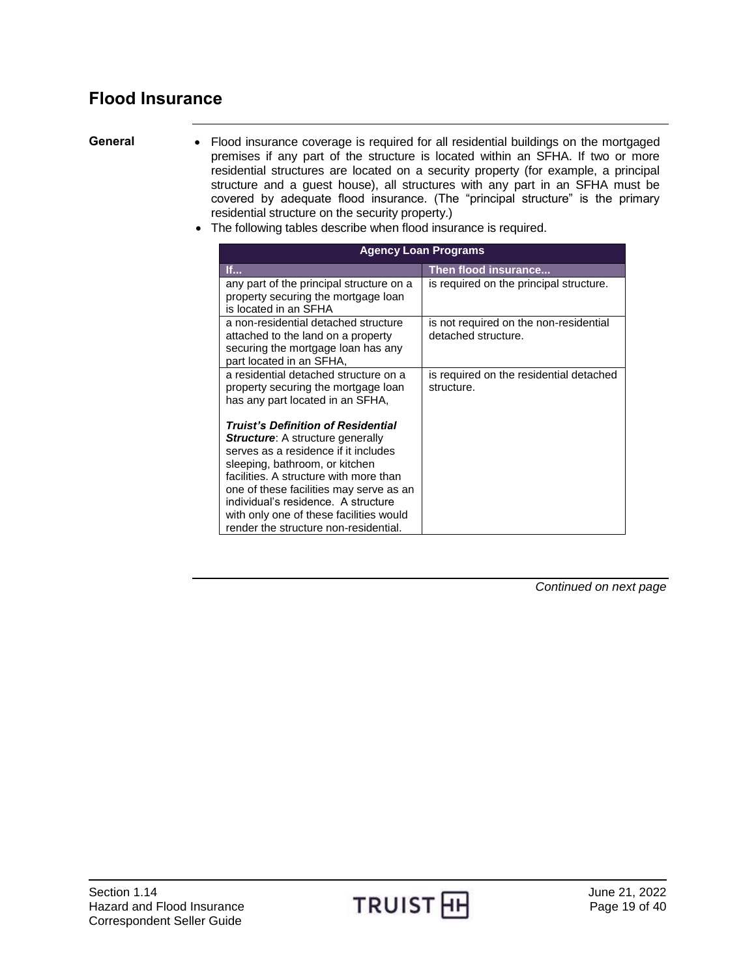# <span id="page-18-0"></span>**Flood Insurance**

- <span id="page-18-1"></span>General • Flood insurance coverage is required for all residential buildings on the mortgaged premises if any part of the structure is located within an SFHA. If two or more residential structures are located on a security property (for example, a principal structure and a guest house), all structures with any part in an SFHA must be covered by adequate flood insurance. (The "principal structure" is the primary residential structure on the security property.)
	- The following tables describe when flood insurance is required.

|                                                                                                                                                                                                                                                                                                                                                                                | <b>Agency Loan Programs</b>                                   |
|--------------------------------------------------------------------------------------------------------------------------------------------------------------------------------------------------------------------------------------------------------------------------------------------------------------------------------------------------------------------------------|---------------------------------------------------------------|
| If                                                                                                                                                                                                                                                                                                                                                                             | Then flood insurance                                          |
| any part of the principal structure on a<br>property securing the mortgage loan                                                                                                                                                                                                                                                                                                | is required on the principal structure.                       |
| is located in an SFHA                                                                                                                                                                                                                                                                                                                                                          |                                                               |
| a non-residential detached structure<br>attached to the land on a property<br>securing the mortgage loan has any<br>part located in an SFHA,                                                                                                                                                                                                                                   | is not required on the non-residential<br>detached structure. |
| a residential detached structure on a<br>property securing the mortgage loan<br>has any part located in an SFHA,                                                                                                                                                                                                                                                               | is required on the residential detached<br>structure.         |
| <b>Truist's Definition of Residential</b><br><b>Structure:</b> A structure generally<br>serves as a residence if it includes<br>sleeping, bathroom, or kitchen<br>facilities. A structure with more than<br>one of these facilities may serve as an<br>individual's residence. A structure<br>with only one of these facilities would<br>render the structure non-residential. |                                                               |

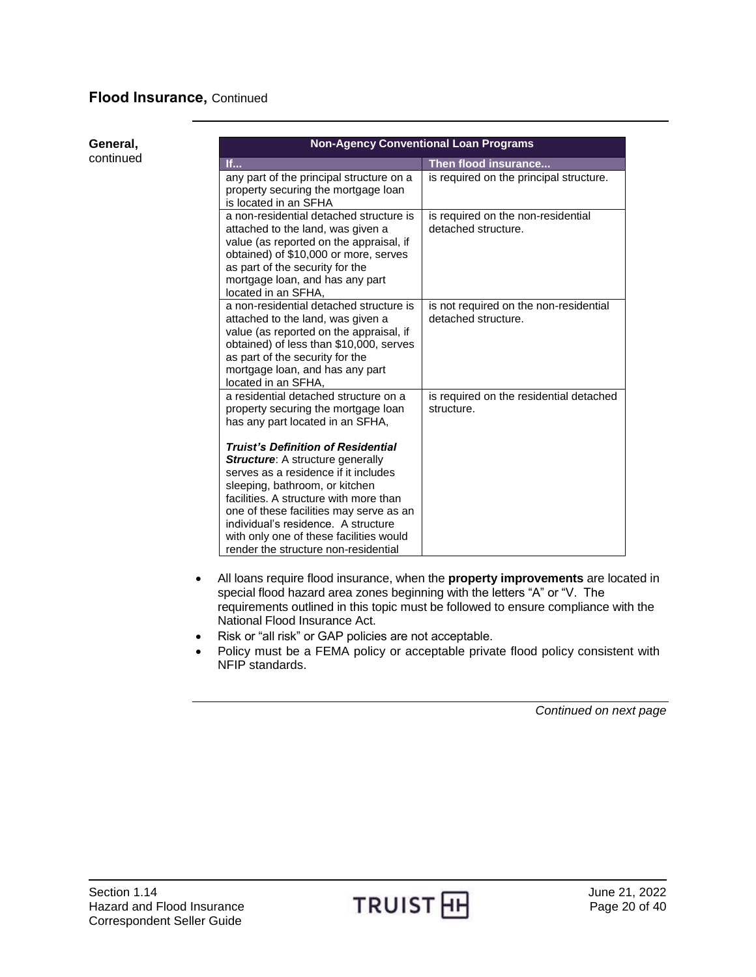## **General,**

continued

|                                                                                                                                                                                                                                                                                                                                                                               | <b>Non-Agency Conventional Loan Programs</b>                  |
|-------------------------------------------------------------------------------------------------------------------------------------------------------------------------------------------------------------------------------------------------------------------------------------------------------------------------------------------------------------------------------|---------------------------------------------------------------|
| If                                                                                                                                                                                                                                                                                                                                                                            | Then flood insurance                                          |
| any part of the principal structure on a<br>property securing the mortgage loan<br>is located in an SFHA                                                                                                                                                                                                                                                                      | is required on the principal structure.                       |
| a non-residential detached structure is<br>attached to the land, was given a<br>value (as reported on the appraisal, if<br>obtained) of \$10,000 or more, serves<br>as part of the security for the<br>mortgage loan, and has any part<br>located in an SFHA,                                                                                                                 | is required on the non-residential<br>detached structure.     |
| a non-residential detached structure is<br>attached to the land, was given a<br>value (as reported on the appraisal, if<br>obtained) of less than \$10,000, serves<br>as part of the security for the<br>mortgage loan, and has any part<br>located in an SFHA,                                                                                                               | is not required on the non-residential<br>detached structure. |
| a residential detached structure on a<br>property securing the mortgage loan<br>has any part located in an SFHA,                                                                                                                                                                                                                                                              | is required on the residential detached<br>structure.         |
| <b>Truist's Definition of Residential</b><br><b>Structure:</b> A structure generally<br>serves as a residence if it includes<br>sleeping, bathroom, or kitchen<br>facilities. A structure with more than<br>one of these facilities may serve as an<br>individual's residence. A structure<br>with only one of these facilities would<br>render the structure non-residential |                                                               |

- All loans require flood insurance, when the **property improvements** are located in special flood hazard area zones beginning with the letters "A" or "V. The requirements outlined in this topic must be followed to ensure compliance with the National Flood Insurance Act.
- Risk or "all risk" or GAP policies are not acceptable.
- Policy must be a FEMA policy or acceptable private flood policy consistent with NFIP standards.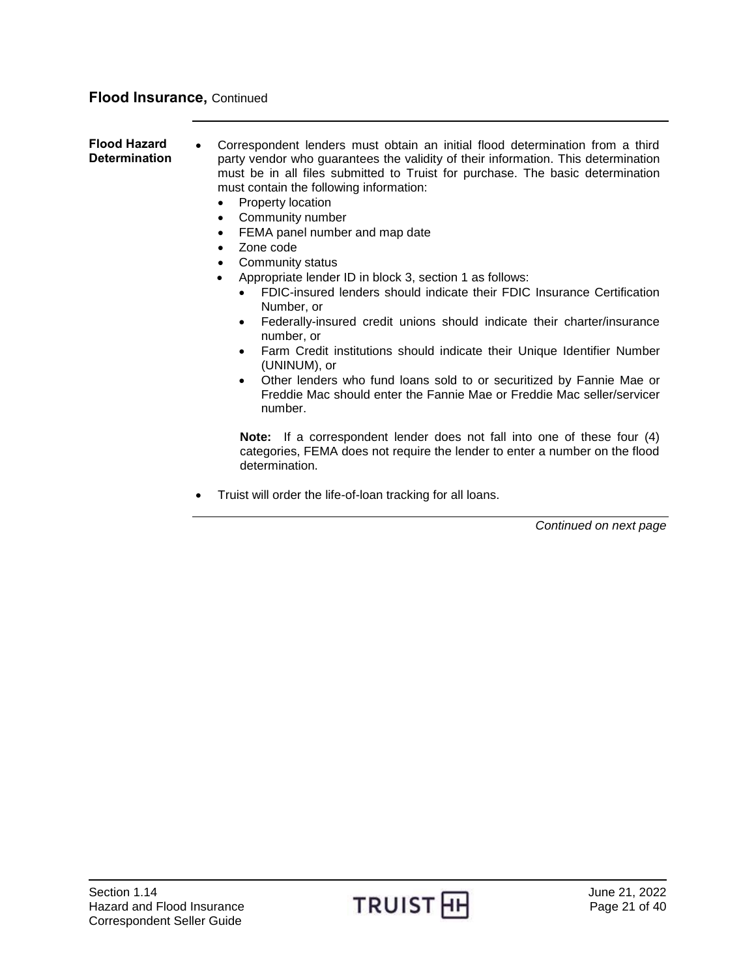<span id="page-20-0"></span>**Flood Hazard Determination** Correspondent lenders must obtain an initial flood determination from a third party vendor who guarantees the validity of their information. This determination must be in all files submitted to Truist for purchase. The basic determination must contain the following information:

- Property location
- Community number
- FEMA panel number and map date
- Zone code
- Community status
- Appropriate lender ID in block 3, section 1 as follows:
	- FDIC-insured lenders should indicate their FDIC Insurance Certification Number, or
	- Federally-insured credit unions should indicate their charter/insurance number, or
	- Farm Credit institutions should indicate their Unique Identifier Number (UNINUM), or
	- Other lenders who fund loans sold to or securitized by Fannie Mae or Freddie Mac should enter the Fannie Mae or Freddie Mac seller/servicer number.

**Note:** If a correspondent lender does not fall into one of these four (4) categories, FEMA does not require the lender to enter a number on the flood determination.

Truist will order the life-of-loan tracking for all loans.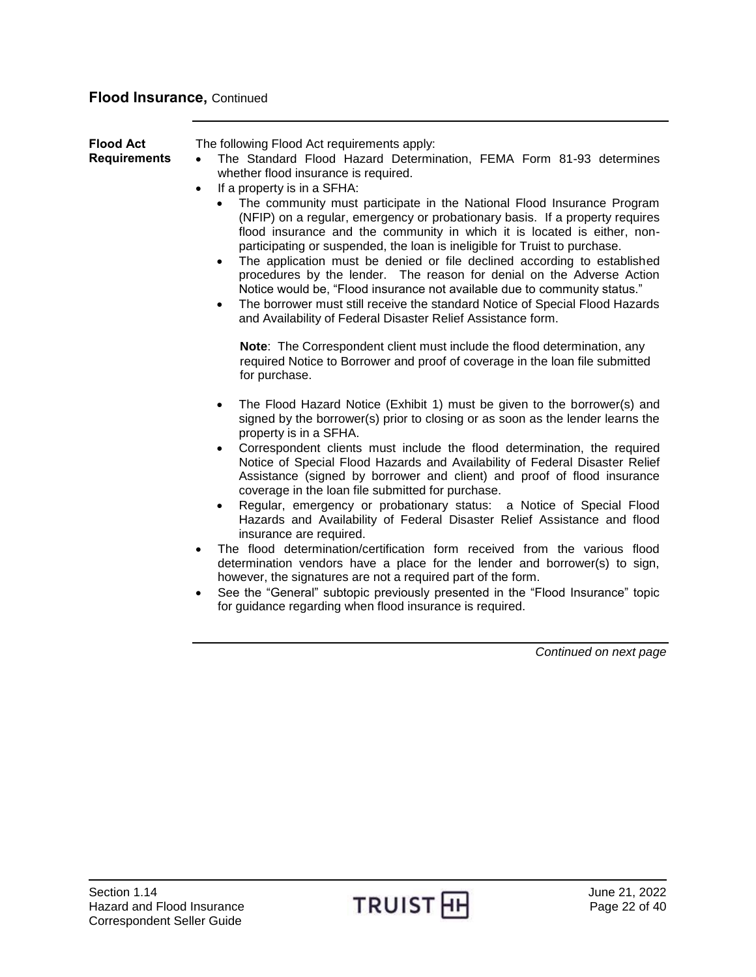<span id="page-21-0"></span>

| <b>Flood Act</b><br><b>Requirements</b> | The following Flood Act requirements apply:<br>The Standard Flood Hazard Determination, FEMA Form 81-93 determines<br>$\bullet$<br>whether flood insurance is required.<br>If a property is in a SFHA:<br>$\bullet$<br>The community must participate in the National Flood Insurance Program<br>(NFIP) on a regular, emergency or probationary basis. If a property requires<br>flood insurance and the community in which it is located is either, non-<br>participating or suspended, the loan is ineligible for Truist to purchase.<br>The application must be denied or file declined according to established<br>procedures by the lender. The reason for denial on the Adverse Action<br>Notice would be, "Flood insurance not available due to community status."<br>The borrower must still receive the standard Notice of Special Flood Hazards<br>and Availability of Federal Disaster Relief Assistance form.                                                                                                                                                       |
|-----------------------------------------|---------------------------------------------------------------------------------------------------------------------------------------------------------------------------------------------------------------------------------------------------------------------------------------------------------------------------------------------------------------------------------------------------------------------------------------------------------------------------------------------------------------------------------------------------------------------------------------------------------------------------------------------------------------------------------------------------------------------------------------------------------------------------------------------------------------------------------------------------------------------------------------------------------------------------------------------------------------------------------------------------------------------------------------------------------------------------------|
|                                         | Note: The Correspondent client must include the flood determination, any<br>required Notice to Borrower and proof of coverage in the loan file submitted<br>for purchase.                                                                                                                                                                                                                                                                                                                                                                                                                                                                                                                                                                                                                                                                                                                                                                                                                                                                                                       |
|                                         | The Flood Hazard Notice (Exhibit 1) must be given to the borrower(s) and<br>$\bullet$<br>signed by the borrower(s) prior to closing or as soon as the lender learns the<br>property is in a SFHA.<br>Correspondent clients must include the flood determination, the required<br>Notice of Special Flood Hazards and Availability of Federal Disaster Relief<br>Assistance (signed by borrower and client) and proof of flood insurance<br>coverage in the loan file submitted for purchase.<br>Regular, emergency or probationary status: a Notice of Special Flood<br>Hazards and Availability of Federal Disaster Relief Assistance and flood<br>insurance are required.<br>The flood determination/certification form received from the various flood<br>$\bullet$<br>determination vendors have a place for the lender and borrower(s) to sign,<br>however, the signatures are not a required part of the form.<br>See the "General" subtopic previously presented in the "Flood Insurance" topic<br>$\bullet$<br>for guidance regarding when flood insurance is required. |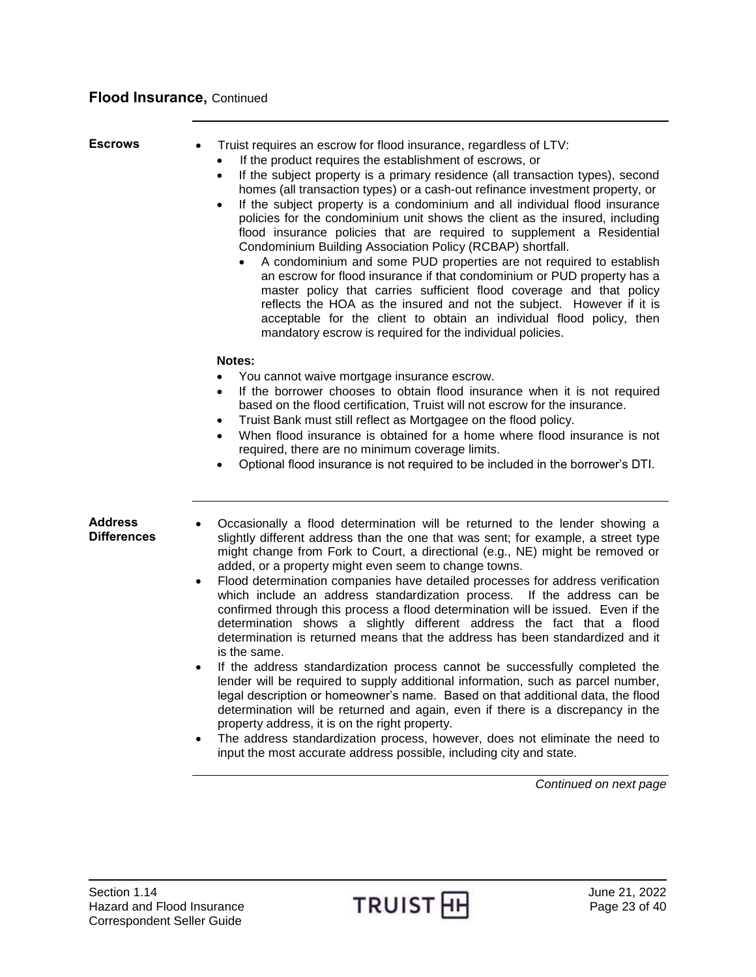<span id="page-22-1"></span><span id="page-22-0"></span>**Escrows** • Truist requires an escrow for flood insurance, regardless of LTV: If the product requires the establishment of escrows, or • If the subject property is a primary residence (all transaction types), second homes (all transaction types) or a cash-out refinance investment property, or If the subject property is a condominium and all individual flood insurance policies for the condominium unit shows the client as the insured, including flood insurance policies that are required to supplement a Residential Condominium Building Association Policy (RCBAP) shortfall. A condominium and some PUD properties are not required to establish an escrow for flood insurance if that condominium or PUD property has a master policy that carries sufficient flood coverage and that policy reflects the HOA as the insured and not the subject. However if it is acceptable for the client to obtain an individual flood policy, then mandatory escrow is required for the individual policies. **Notes:** You cannot waive mortgage insurance escrow. • If the borrower chooses to obtain flood insurance when it is not required based on the flood certification, Truist will not escrow for the insurance. Truist Bank must still reflect as Mortgagee on the flood policy. When flood insurance is obtained for a home where flood insurance is not required, there are no minimum coverage limits. Optional flood insurance is not required to be included in the borrower's DTI. **Address Differences** Occasionally a flood determination will be returned to the lender showing a slightly different address than the one that was sent; for example, a street type might change from Fork to Court, a directional (e.g., NE) might be removed or added, or a property might even seem to change towns. Flood determination companies have detailed processes for address verification which include an address standardization process. If the address can be confirmed through this process a flood determination will be issued. Even if the determination shows a slightly different address the fact that a flood determination is returned means that the address has been standardized and it is the same. If the address standardization process cannot be successfully completed the lender will be required to supply additional information, such as parcel number, legal description or homeowner's name. Based on that additional data, the flood determination will be returned and again, even if there is a discrepancy in the property address, it is on the right property. The address standardization process, however, does not eliminate the need to input the most accurate address possible, including city and state.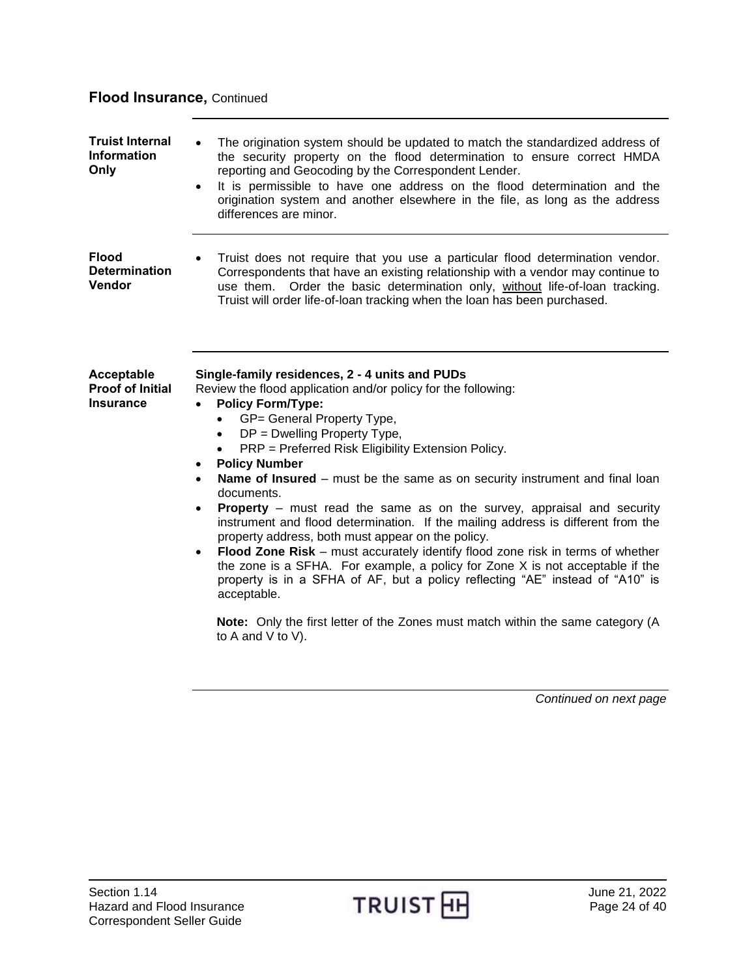<span id="page-23-2"></span><span id="page-23-1"></span><span id="page-23-0"></span>

| <b>Truist Internal</b><br><b>Information</b><br>Only      | The origination system should be updated to match the standardized address of<br>the security property on the flood determination to ensure correct HMDA<br>reporting and Geocoding by the Correspondent Lender.<br>It is permissible to have one address on the flood determination and the<br>$\bullet$<br>origination system and another elsewhere in the file, as long as the address<br>differences are minor.                                                                                                                                                                                                                                                                                                                                                                                                                                                                                                                                                                                                                                                                          |
|-----------------------------------------------------------|----------------------------------------------------------------------------------------------------------------------------------------------------------------------------------------------------------------------------------------------------------------------------------------------------------------------------------------------------------------------------------------------------------------------------------------------------------------------------------------------------------------------------------------------------------------------------------------------------------------------------------------------------------------------------------------------------------------------------------------------------------------------------------------------------------------------------------------------------------------------------------------------------------------------------------------------------------------------------------------------------------------------------------------------------------------------------------------------|
| <b>Flood</b><br><b>Determination</b><br>Vendor            | Truist does not require that you use a particular flood determination vendor.<br>Correspondents that have an existing relationship with a vendor may continue to<br>use them. Order the basic determination only, without life-of-loan tracking.<br>Truist will order life-of-loan tracking when the loan has been purchased.                                                                                                                                                                                                                                                                                                                                                                                                                                                                                                                                                                                                                                                                                                                                                                |
| Acceptable<br><b>Proof of Initial</b><br><b>Insurance</b> | Single-family residences, 2 - 4 units and PUDs<br>Review the flood application and/or policy for the following:<br><b>Policy Form/Type:</b><br>$\bullet$<br>GP= General Property Type,<br>$\bullet$<br>$DP = Dwelling Property Type$ ,<br>$\bullet$<br>PRP = Preferred Risk Eligibility Extension Policy.<br>$\bullet$<br><b>Policy Number</b><br>$\bullet$<br>Name of Insured - must be the same as on security instrument and final loan<br>$\bullet$<br>documents.<br><b>Property</b> – must read the same as on the survey, appraisal and security<br>$\bullet$<br>instrument and flood determination. If the mailing address is different from the<br>property address, both must appear on the policy.<br>Flood Zone Risk - must accurately identify flood zone risk in terms of whether<br>٠<br>the zone is a SFHA. For example, a policy for Zone X is not acceptable if the<br>property is in a SFHA of AF, but a policy reflecting "AE" instead of "A10" is<br>acceptable.<br>Note: Only the first letter of the Zones must match within the same category (A<br>to A and V to V). |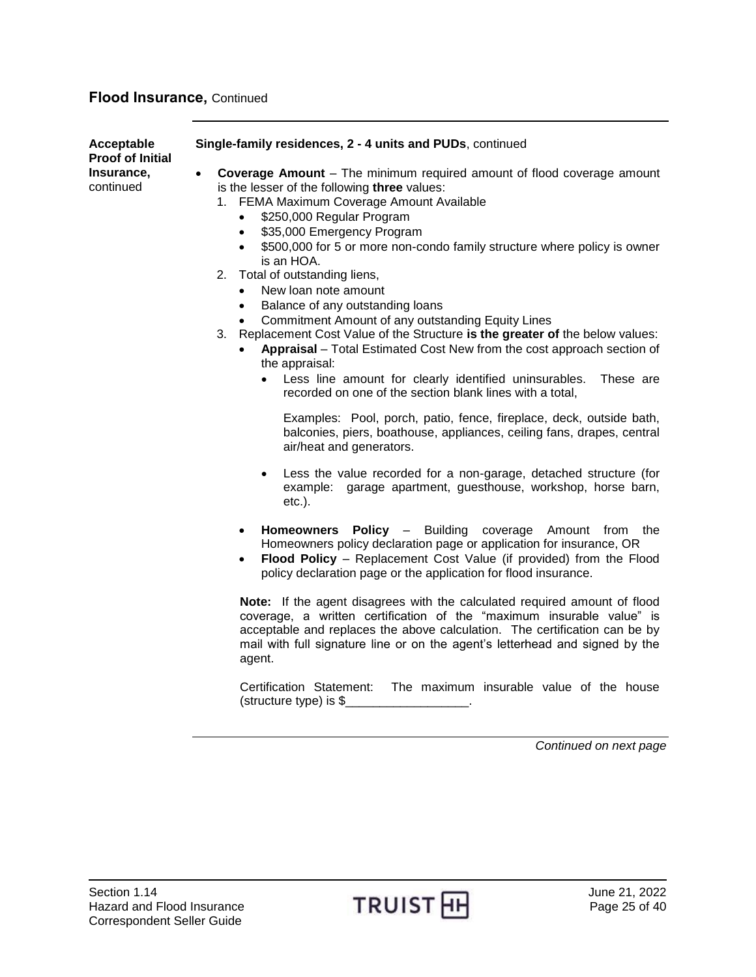| Acceptable<br><b>Proof of Initial</b><br>Insurance,<br>continued | Single-family residences, 2 - 4 units and PUDs, continued                                                                                                                                                                                                                                                                                                                                                                                                                                                                                                                                                                                                                                                                                                                                                                                                                           |
|------------------------------------------------------------------|-------------------------------------------------------------------------------------------------------------------------------------------------------------------------------------------------------------------------------------------------------------------------------------------------------------------------------------------------------------------------------------------------------------------------------------------------------------------------------------------------------------------------------------------------------------------------------------------------------------------------------------------------------------------------------------------------------------------------------------------------------------------------------------------------------------------------------------------------------------------------------------|
|                                                                  | <b>Coverage Amount</b> – The minimum required amount of flood coverage amount<br>$\bullet$<br>is the lesser of the following three values:<br>1. FEMA Maximum Coverage Amount Available<br>\$250,000 Regular Program<br>$\bullet$<br>\$35,000 Emergency Program<br>$\bullet$<br>\$500,000 for 5 or more non-condo family structure where policy is owner<br>$\bullet$<br>is an HOA.<br>2.<br>Total of outstanding liens,<br>New loan note amount<br>$\bullet$<br>Balance of any outstanding loans<br>$\bullet$<br>Commitment Amount of any outstanding Equity Lines<br>3. Replacement Cost Value of the Structure is the greater of the below values:<br>Appraisal - Total Estimated Cost New from the cost approach section of<br>the appraisal:<br>Less line amount for clearly identified uninsurables.<br>These are<br>recorded on one of the section blank lines with a total, |
|                                                                  | Examples: Pool, porch, patio, fence, fireplace, deck, outside bath,<br>balconies, piers, boathouse, appliances, ceiling fans, drapes, central<br>air/heat and generators.                                                                                                                                                                                                                                                                                                                                                                                                                                                                                                                                                                                                                                                                                                           |
|                                                                  | Less the value recorded for a non-garage, detached structure (for<br>example: garage apartment, guesthouse, workshop, horse barn,<br>$etc.$ ).                                                                                                                                                                                                                                                                                                                                                                                                                                                                                                                                                                                                                                                                                                                                      |
|                                                                  | <b>Policy</b> - Building<br>coverage Amount from<br><b>Homeowners</b><br>the<br>$\bullet$<br>Homeowners policy declaration page or application for insurance, OR<br>Flood Policy - Replacement Cost Value (if provided) from the Flood<br>$\bullet$<br>policy declaration page or the application for flood insurance.                                                                                                                                                                                                                                                                                                                                                                                                                                                                                                                                                              |
|                                                                  | Note: If the agent disagrees with the calculated required amount of flood<br>coverage, a written certification of the "maximum insurable value" is<br>acceptable and replaces the above calculation. The certification can be by<br>mail with full signature line or on the agent's letterhead and signed by the<br>agent.                                                                                                                                                                                                                                                                                                                                                                                                                                                                                                                                                          |
|                                                                  | Certification Statement:<br>The maximum insurable value of the house<br>(structure type) is \$                                                                                                                                                                                                                                                                                                                                                                                                                                                                                                                                                                                                                                                                                                                                                                                      |
|                                                                  | Continued on next page                                                                                                                                                                                                                                                                                                                                                                                                                                                                                                                                                                                                                                                                                                                                                                                                                                                              |

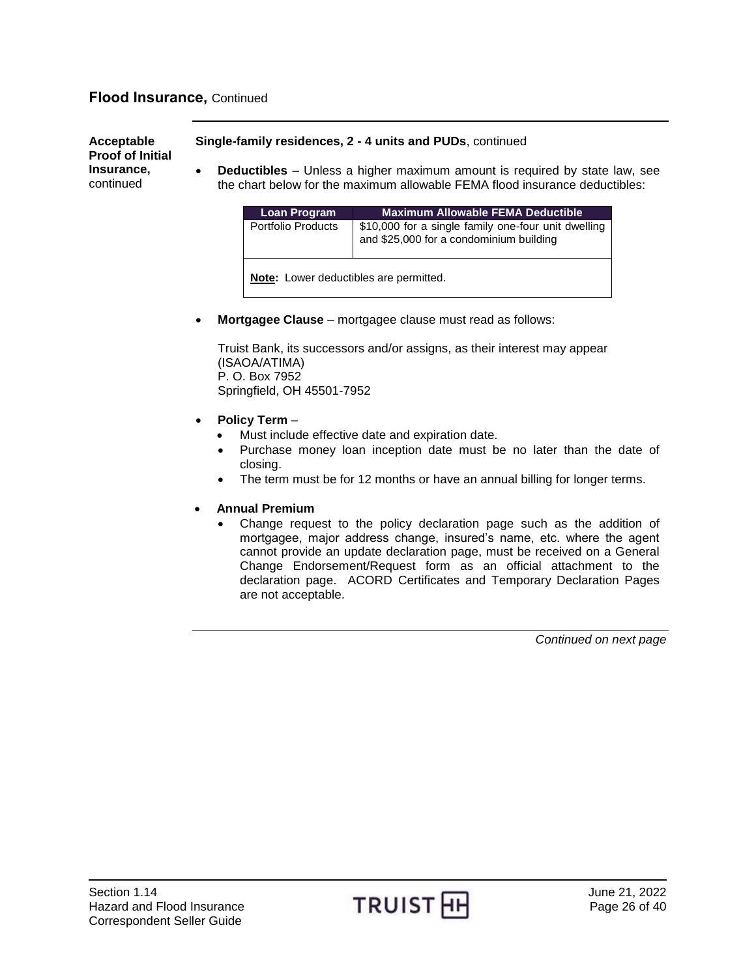**Acceptable Proof of Initial Insurance,** continued

#### **Single-family residences, 2 - 4 units and PUDs**, continued

 **Deductibles** – Unless a higher maximum amount is required by state law, see the chart below for the maximum allowable FEMA flood insurance deductibles:

| Loan Program                                  | <b>Maximum Allowable FEMA Deductible</b>                                                       |
|-----------------------------------------------|------------------------------------------------------------------------------------------------|
| Portfolio Products                            | \$10,000 for a single family one-four unit dwelling<br>and \$25,000 for a condominium building |
| <b>Note:</b> Lower deductibles are permitted. |                                                                                                |

**Mortgagee Clause** – mortgagee clause must read as follows:

Truist Bank, its successors and/or assigns, as their interest may appear (ISAOA/ATIMA) P. O. Box 7952 Springfield, OH 45501-7952

- **Policy Term** 
	- Must include effective date and expiration date.
	- Purchase money loan inception date must be no later than the date of closing.
	- The term must be for 12 months or have an annual billing for longer terms.

### **Annual Premium**

 Change request to the policy declaration page such as the addition of mortgagee, major address change, insured's name, etc. where the agent cannot provide an update declaration page, must be received on a General Change Endorsement/Request form as an official attachment to the declaration page. ACORD Certificates and Temporary Declaration Pages are not acceptable.

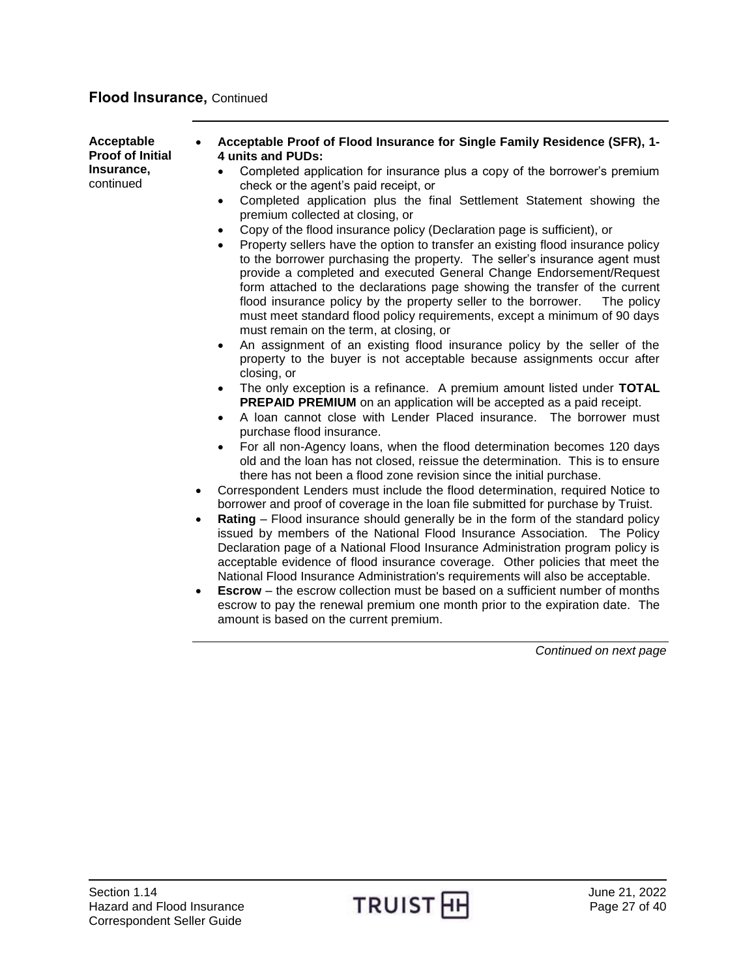| Acceptable<br>$\bullet$<br><b>Proof of Initial</b><br>Insurance,<br>continued<br>$\bullet$<br>$\bullet$<br>٠ | Acceptable Proof of Flood Insurance for Single Family Residence (SFR), 1-<br>4 units and PUDs:<br>Completed application for insurance plus a copy of the borrower's premium<br>check or the agent's paid receipt, or<br>Completed application plus the final Settlement Statement showing the<br>$\bullet$<br>premium collected at closing, or<br>Copy of the flood insurance policy (Declaration page is sufficient), or<br>$\bullet$<br>Property sellers have the option to transfer an existing flood insurance policy<br>to the borrower purchasing the property. The seller's insurance agent must<br>provide a completed and executed General Change Endorsement/Request<br>form attached to the declarations page showing the transfer of the current<br>flood insurance policy by the property seller to the borrower.<br>The policy<br>must meet standard flood policy requirements, except a minimum of 90 days<br>must remain on the term, at closing, or<br>An assignment of an existing flood insurance policy by the seller of the<br>$\bullet$<br>property to the buyer is not acceptable because assignments occur after<br>closing, or<br>The only exception is a refinance. A premium amount listed under TOTAL<br>PREPAID PREMIUM on an application will be accepted as a paid receipt.<br>A loan cannot close with Lender Placed insurance. The borrower must<br>$\bullet$<br>purchase flood insurance.<br>For all non-Agency loans, when the flood determination becomes 120 days<br>old and the loan has not closed, reissue the determination. This is to ensure<br>there has not been a flood zone revision since the initial purchase.<br>Correspondent Lenders must include the flood determination, required Notice to<br>borrower and proof of coverage in the loan file submitted for purchase by Truist.<br>Rating – Flood insurance should generally be in the form of the standard policy<br>issued by members of the National Flood Insurance Association. The Policy<br>Declaration page of a National Flood Insurance Administration program policy is<br>acceptable evidence of flood insurance coverage. Other policies that meet the<br>National Flood Insurance Administration's requirements will also be acceptable.<br><b>Escrow</b> – the escrow collection must be based on a sufficient number of months<br>escrow to pay the renewal premium one month prior to the expiration date. The<br>amount is based on the current premium. |
|--------------------------------------------------------------------------------------------------------------|-----------------------------------------------------------------------------------------------------------------------------------------------------------------------------------------------------------------------------------------------------------------------------------------------------------------------------------------------------------------------------------------------------------------------------------------------------------------------------------------------------------------------------------------------------------------------------------------------------------------------------------------------------------------------------------------------------------------------------------------------------------------------------------------------------------------------------------------------------------------------------------------------------------------------------------------------------------------------------------------------------------------------------------------------------------------------------------------------------------------------------------------------------------------------------------------------------------------------------------------------------------------------------------------------------------------------------------------------------------------------------------------------------------------------------------------------------------------------------------------------------------------------------------------------------------------------------------------------------------------------------------------------------------------------------------------------------------------------------------------------------------------------------------------------------------------------------------------------------------------------------------------------------------------------------------------------------------------------------------------------------------------------------------------------------------------------------------------------------------------------------------------------------------------------------------------------------------------------------------------------------------------------------------------------------------------------------------------------------------------------------------------------------------------------------------------------------------------------------------|
|                                                                                                              | Continued on next page                                                                                                                                                                                                                                                                                                                                                                                                                                                                                                                                                                                                                                                                                                                                                                                                                                                                                                                                                                                                                                                                                                                                                                                                                                                                                                                                                                                                                                                                                                                                                                                                                                                                                                                                                                                                                                                                                                                                                                                                                                                                                                                                                                                                                                                                                                                                                                                                                                                            |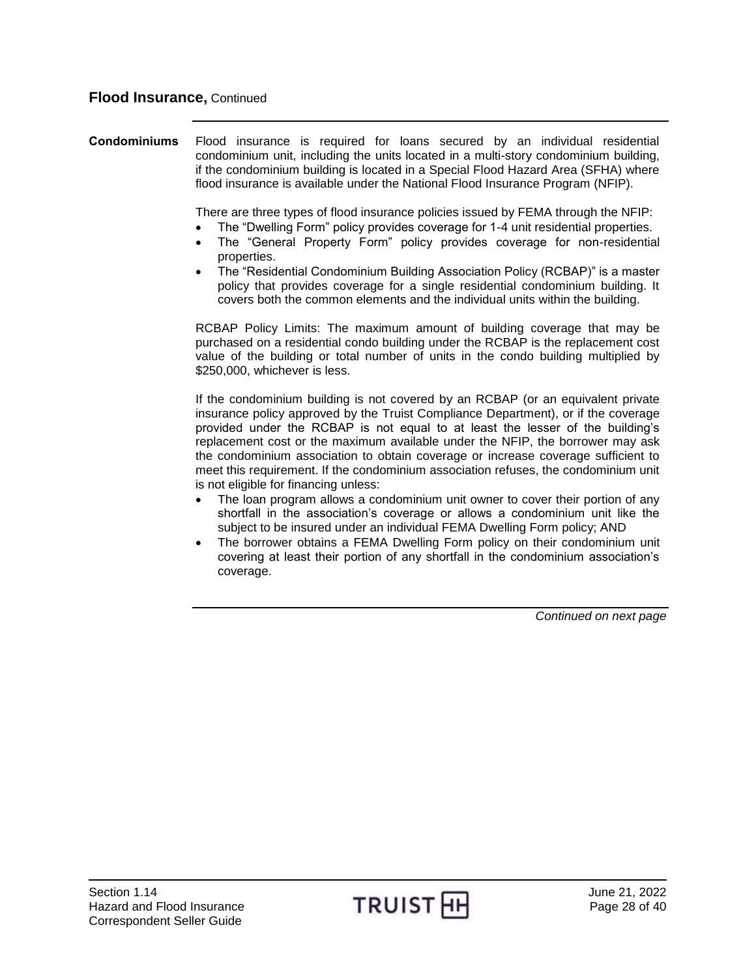<span id="page-27-0"></span>**Condominiums** Flood insurance is required for loans secured by an individual residential condominium unit, including the units located in a multi-story condominium building, if the condominium building is located in a Special Flood Hazard Area (SFHA) where flood insurance is available under the National Flood Insurance Program (NFIP).

There are three types of flood insurance policies issued by FEMA through the NFIP:

- The "Dwelling Form" policy provides coverage for 1-4 unit residential properties.
- The "General Property Form" policy provides coverage for non-residential properties.
- The "Residential Condominium Building Association Policy (RCBAP)" is a master policy that provides coverage for a single residential condominium building. It covers both the common elements and the individual units within the building.

RCBAP Policy Limits: The maximum amount of building coverage that may be purchased on a residential condo building under the RCBAP is the replacement cost value of the building or total number of units in the condo building multiplied by \$250,000, whichever is less.

If the condominium building is not covered by an RCBAP (or an equivalent private insurance policy approved by the Truist Compliance Department), or if the coverage provided under the RCBAP is not equal to at least the lesser of the building's replacement cost or the maximum available under the NFIP, the borrower may ask the condominium association to obtain coverage or increase coverage sufficient to meet this requirement. If the condominium association refuses, the condominium unit is not eligible for financing unless:

- The loan program allows a condominium unit owner to cover their portion of any shortfall in the association's coverage or allows a condominium unit like the subject to be insured under an individual FEMA Dwelling Form policy; AND
- The borrower obtains a FEMA Dwelling Form policy on their condominium unit covering at least their portion of any shortfall in the condominium association's coverage.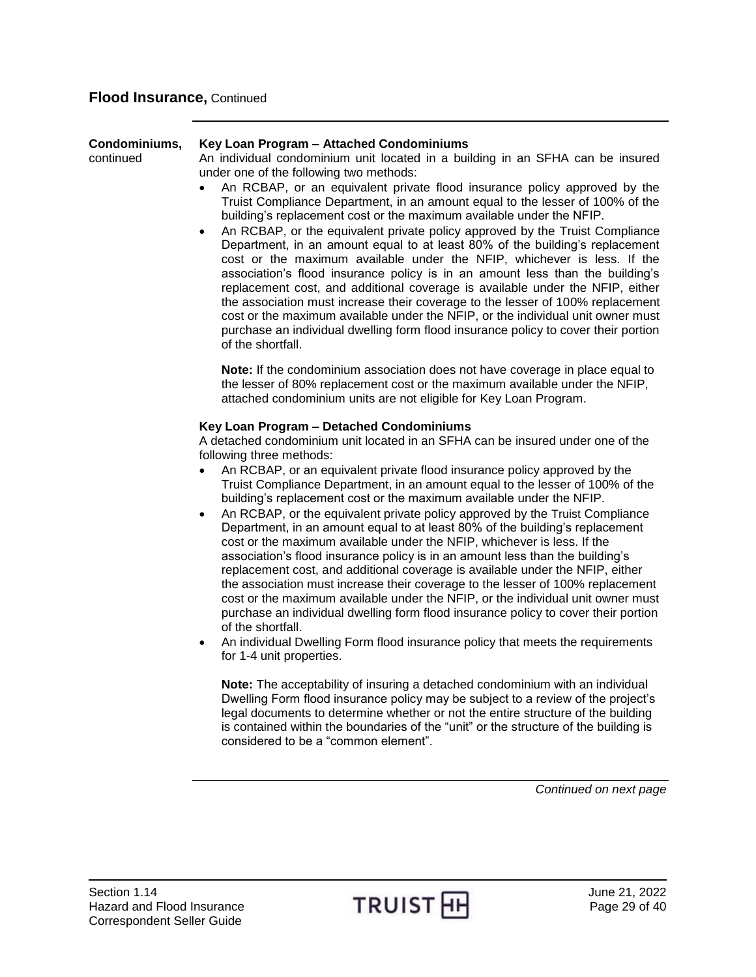| Condominiums,<br>continued | Key Loan Program - Attached Condominiums<br>An individual condominium unit located in a building in an SFHA can be insured<br>under one of the following two methods:<br>An RCBAP, or an equivalent private flood insurance policy approved by the<br>$\bullet$<br>Truist Compliance Department, in an amount equal to the lesser of 100% of the<br>building's replacement cost or the maximum available under the NFIP.<br>An RCBAP, or the equivalent private policy approved by the Truist Compliance<br>٠<br>Department, in an amount equal to at least 80% of the building's replacement<br>cost or the maximum available under the NFIP, whichever is less. If the                                                                                                                                                                                                                                                                                                                                                                                                                                                                                                                                                                                                                                                                                                                                                                                                                                                                                                                                                                |
|----------------------------|-----------------------------------------------------------------------------------------------------------------------------------------------------------------------------------------------------------------------------------------------------------------------------------------------------------------------------------------------------------------------------------------------------------------------------------------------------------------------------------------------------------------------------------------------------------------------------------------------------------------------------------------------------------------------------------------------------------------------------------------------------------------------------------------------------------------------------------------------------------------------------------------------------------------------------------------------------------------------------------------------------------------------------------------------------------------------------------------------------------------------------------------------------------------------------------------------------------------------------------------------------------------------------------------------------------------------------------------------------------------------------------------------------------------------------------------------------------------------------------------------------------------------------------------------------------------------------------------------------------------------------------------|
|                            | association's flood insurance policy is in an amount less than the building's<br>replacement cost, and additional coverage is available under the NFIP, either<br>the association must increase their coverage to the lesser of 100% replacement<br>cost or the maximum available under the NFIP, or the individual unit owner must<br>purchase an individual dwelling form flood insurance policy to cover their portion<br>of the shortfall.                                                                                                                                                                                                                                                                                                                                                                                                                                                                                                                                                                                                                                                                                                                                                                                                                                                                                                                                                                                                                                                                                                                                                                                          |
|                            | Note: If the condominium association does not have coverage in place equal to<br>the lesser of 80% replacement cost or the maximum available under the NFIP,<br>attached condominium units are not eligible for Key Loan Program.                                                                                                                                                                                                                                                                                                                                                                                                                                                                                                                                                                                                                                                                                                                                                                                                                                                                                                                                                                                                                                                                                                                                                                                                                                                                                                                                                                                                       |
|                            | Key Loan Program - Detached Condominiums<br>A detached condominium unit located in an SFHA can be insured under one of the<br>following three methods:<br>An RCBAP, or an equivalent private flood insurance policy approved by the<br>$\bullet$<br>Truist Compliance Department, in an amount equal to the lesser of 100% of the<br>building's replacement cost or the maximum available under the NFIP.<br>An RCBAP, or the equivalent private policy approved by the Truist Compliance<br>$\bullet$<br>Department, in an amount equal to at least 80% of the building's replacement<br>cost or the maximum available under the NFIP, whichever is less. If the<br>association's flood insurance policy is in an amount less than the building's<br>replacement cost, and additional coverage is available under the NFIP, either<br>the association must increase their coverage to the lesser of 100% replacement<br>cost or the maximum available under the NFIP, or the individual unit owner must<br>purchase an individual dwelling form flood insurance policy to cover their portion<br>of the shortfall.<br>An individual Dwelling Form flood insurance policy that meets the requirements<br>$\bullet$<br>for 1-4 unit properties.<br>Note: The acceptability of insuring a detached condominium with an individual<br>Dwelling Form flood insurance policy may be subject to a review of the project's<br>legal documents to determine whether or not the entire structure of the building<br>is contained within the boundaries of the "unit" or the structure of the building is<br>considered to be a "common element". |
|                            | Continued on next page                                                                                                                                                                                                                                                                                                                                                                                                                                                                                                                                                                                                                                                                                                                                                                                                                                                                                                                                                                                                                                                                                                                                                                                                                                                                                                                                                                                                                                                                                                                                                                                                                  |
|                            |                                                                                                                                                                                                                                                                                                                                                                                                                                                                                                                                                                                                                                                                                                                                                                                                                                                                                                                                                                                                                                                                                                                                                                                                                                                                                                                                                                                                                                                                                                                                                                                                                                         |

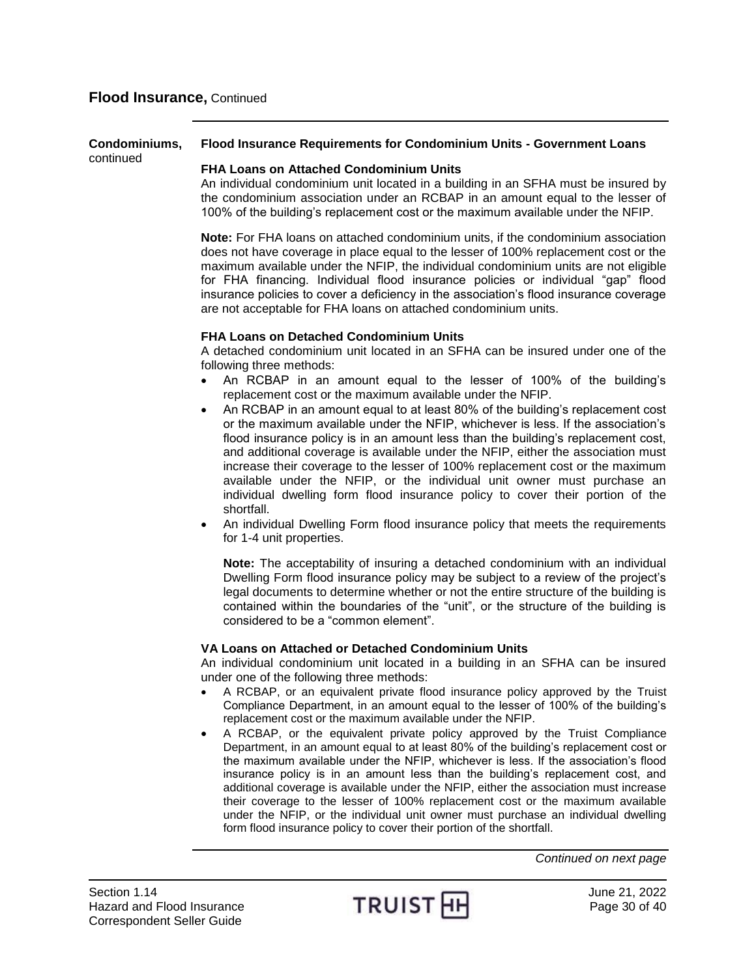#### **Condominiums,** continued **Flood Insurance Requirements for Condominium Units - Government Loans**

#### **FHA Loans on Attached Condominium Units**

An individual condominium unit located in a building in an SFHA must be insured by the condominium association under an RCBAP in an amount equal to the lesser of 100% of the building's replacement cost or the maximum available under the NFIP.

**Note:** For FHA loans on attached condominium units, if the condominium association does not have coverage in place equal to the lesser of 100% replacement cost or the maximum available under the NFIP, the individual condominium units are not eligible for FHA financing. Individual flood insurance policies or individual "gap" flood insurance policies to cover a deficiency in the association's flood insurance coverage are not acceptable for FHA loans on attached condominium units.

#### **FHA Loans on Detached Condominium Units**

A detached condominium unit located in an SFHA can be insured under one of the following three methods:

- An RCBAP in an amount equal to the lesser of 100% of the building's replacement cost or the maximum available under the NFIP.
- An RCBAP in an amount equal to at least 80% of the building's replacement cost or the maximum available under the NFIP, whichever is less. If the association's flood insurance policy is in an amount less than the building's replacement cost, and additional coverage is available under the NFIP, either the association must increase their coverage to the lesser of 100% replacement cost or the maximum available under the NFIP, or the individual unit owner must purchase an individual dwelling form flood insurance policy to cover their portion of the shortfall.
- An individual Dwelling Form flood insurance policy that meets the requirements for 1-4 unit properties.

**Note:** The acceptability of insuring a detached condominium with an individual Dwelling Form flood insurance policy may be subject to a review of the project's legal documents to determine whether or not the entire structure of the building is contained within the boundaries of the "unit", or the structure of the building is considered to be a "common element".

### **VA Loans on Attached or Detached Condominium Units**

An individual condominium unit located in a building in an SFHA can be insured under one of the following three methods:

- A RCBAP, or an equivalent private flood insurance policy approved by the Truist Compliance Department, in an amount equal to the lesser of 100% of the building's replacement cost or the maximum available under the NFIP.
- A RCBAP, or the equivalent private policy approved by the Truist Compliance Department, in an amount equal to at least 80% of the building's replacement cost or the maximum available under the NFIP, whichever is less. If the association's flood insurance policy is in an amount less than the building's replacement cost, and additional coverage is available under the NFIP, either the association must increase their coverage to the lesser of 100% replacement cost or the maximum available under the NFIP, or the individual unit owner must purchase an individual dwelling form flood insurance policy to cover their portion of the shortfall.

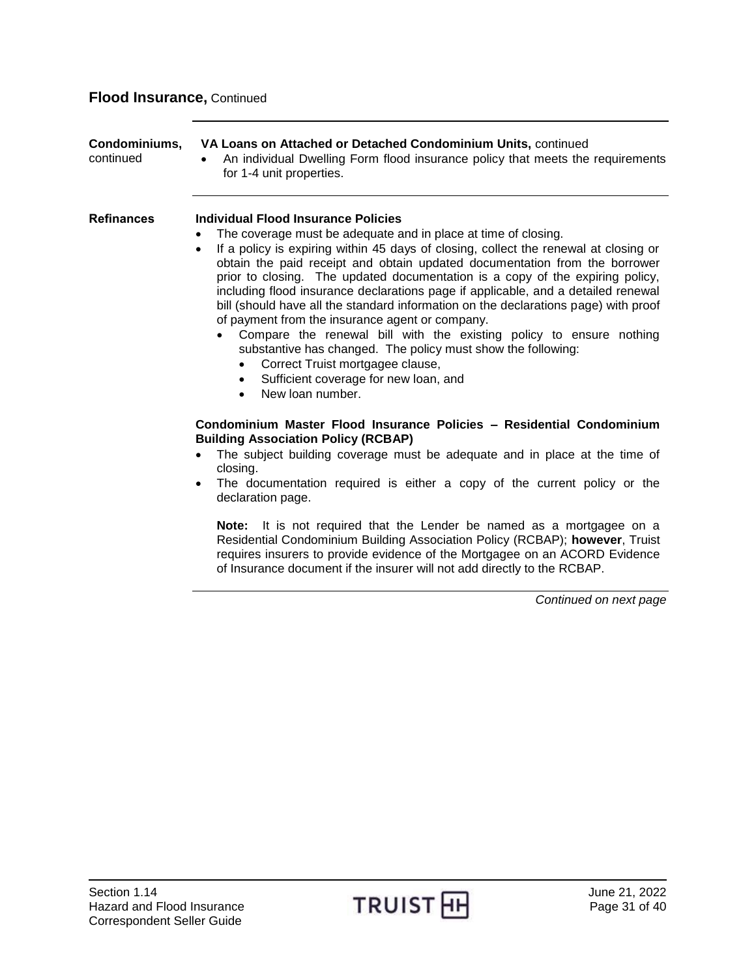<span id="page-30-0"></span>

| Condominiums,<br>continued | VA Loans on Attached or Detached Condominium Units, continued<br>An individual Dwelling Form flood insurance policy that meets the requirements<br>for 1-4 unit properties.                                                                                                                                                                                                                                                                                                                                                                                                                                                                                                                                                                                                                                                                                                |
|----------------------------|----------------------------------------------------------------------------------------------------------------------------------------------------------------------------------------------------------------------------------------------------------------------------------------------------------------------------------------------------------------------------------------------------------------------------------------------------------------------------------------------------------------------------------------------------------------------------------------------------------------------------------------------------------------------------------------------------------------------------------------------------------------------------------------------------------------------------------------------------------------------------|
| <b>Refinances</b>          | Individual Flood Insurance Policies<br>The coverage must be adequate and in place at time of closing.<br>$\bullet$<br>If a policy is expiring within 45 days of closing, collect the renewal at closing or<br>$\bullet$<br>obtain the paid receipt and obtain updated documentation from the borrower<br>prior to closing. The updated documentation is a copy of the expiring policy,<br>including flood insurance declarations page if applicable, and a detailed renewal<br>bill (should have all the standard information on the declarations page) with proof<br>of payment from the insurance agent or company.<br>Compare the renewal bill with the existing policy to ensure nothing<br>substantive has changed. The policy must show the following:<br>Correct Truist mortgagee clause,<br>Sufficient coverage for new loan, and<br>$\bullet$<br>New loan number. |
|                            | Condominium Master Flood Insurance Policies - Residential Condominium<br><b>Building Association Policy (RCBAP)</b><br>The subject building coverage must be adequate and in place at the time of<br>closing.<br>The documentation required is either a copy of the current policy or the<br>declaration page.<br>Note: It is not required that the Lender be named as a mortgagee on a<br>Residential Condominium Building Association Policy (RCBAP); however, Truist<br>requires insurers to provide evidence of the Mortgagee on an ACORD Evidence<br>of Insurance document if the insurer will not add directly to the RCBAP.                                                                                                                                                                                                                                         |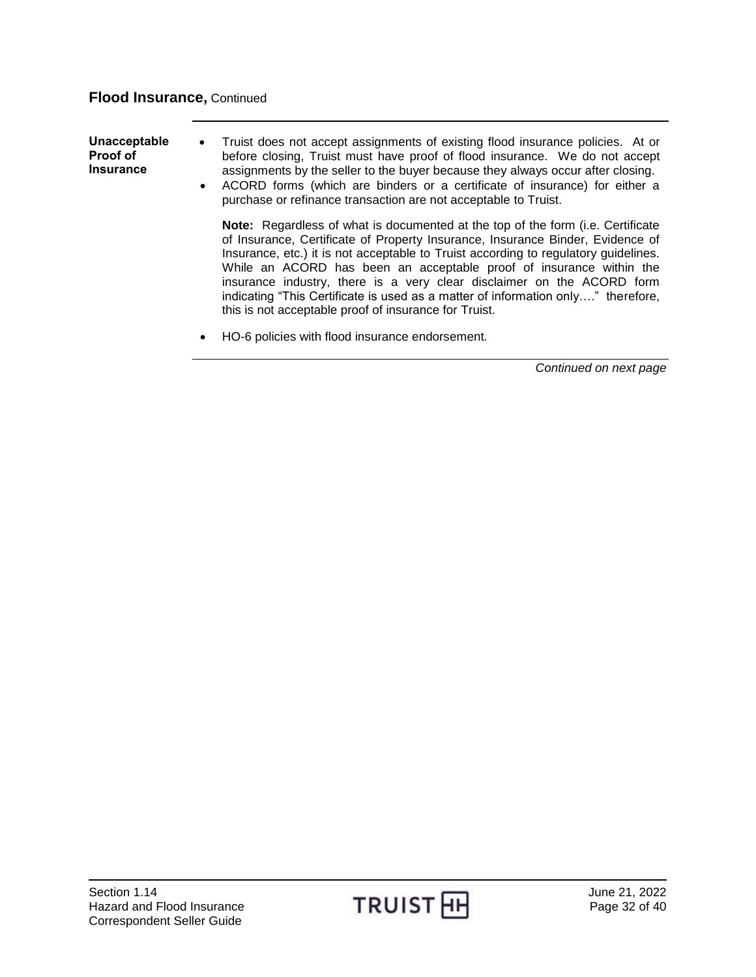<span id="page-31-0"></span>**Unacceptable Proof of Insurance** Truist does not accept assignments of existing flood insurance policies. At or before closing, Truist must have proof of flood insurance. We do not accept assignments by the seller to the buyer because they always occur after closing. ACORD forms (which are binders or a certificate of insurance) for either a purchase or refinance transaction are not acceptable to Truist. **Note:** Regardless of what is documented at the top of the form (i.e. Certificate of Insurance, Certificate of Property Insurance, Insurance Binder, Evidence of Insurance, etc.) it is not acceptable to Truist according to regulatory guidelines. While an ACORD has been an acceptable proof of insurance within the insurance industry, there is a very clear disclaimer on the ACORD form indicating "This Certificate is used as a matter of information only…." therefore, this is not acceptable proof of insurance for Truist.

HO-6 policies with flood insurance endorsement.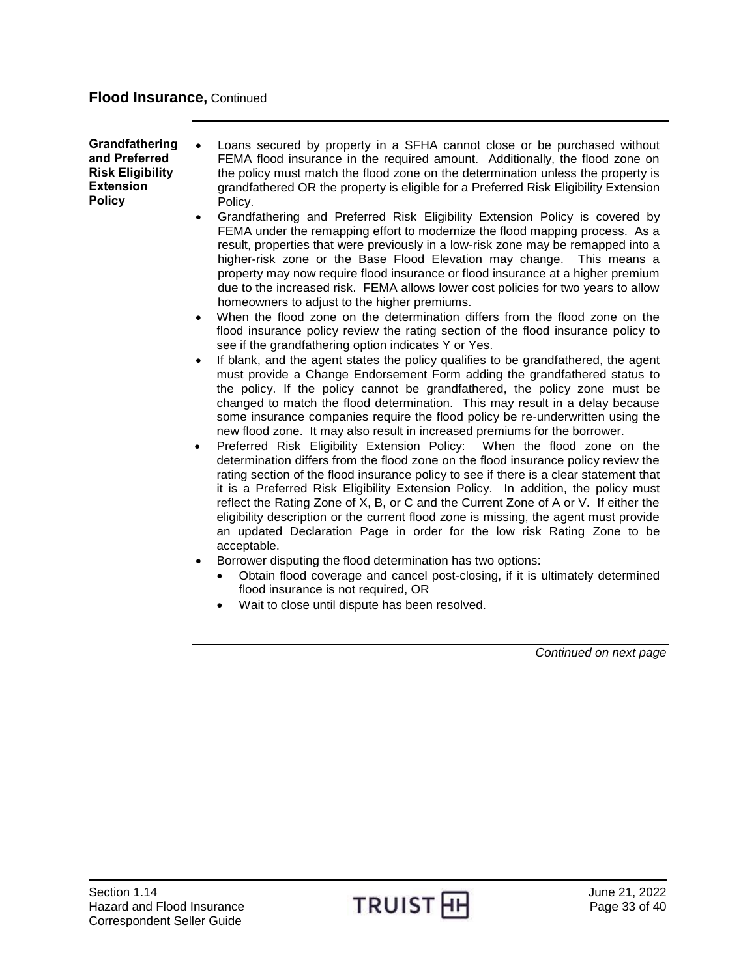<span id="page-32-0"></span>**Grandfathering and Preferred Risk Eligibility Extension Policy** 

- Loans secured by property in a SFHA cannot close or be purchased without FEMA flood insurance in the required amount. Additionally, the flood zone on the policy must match the flood zone on the determination unless the property is grandfathered OR the property is eligible for a Preferred Risk Eligibility Extension Policy.
- Grandfathering and Preferred Risk Eligibility Extension Policy is covered by FEMA under the remapping effort to modernize the flood mapping process. As a result, properties that were previously in a low-risk zone may be remapped into a higher-risk zone or the Base Flood Elevation may change. This means a property may now require flood insurance or flood insurance at a higher premium due to the increased risk. FEMA allows lower cost policies for two years to allow homeowners to adjust to the higher premiums.
- When the flood zone on the determination differs from the flood zone on the flood insurance policy review the rating section of the flood insurance policy to see if the grandfathering option indicates Y or Yes.
- If blank, and the agent states the policy qualifies to be grandfathered, the agent must provide a Change Endorsement Form adding the grandfathered status to the policy. If the policy cannot be grandfathered, the policy zone must be changed to match the flood determination. This may result in a delay because some insurance companies require the flood policy be re-underwritten using the new flood zone. It may also result in increased premiums for the borrower.
- Preferred Risk Eligibility Extension Policy: When the flood zone on the determination differs from the flood zone on the flood insurance policy review the rating section of the flood insurance policy to see if there is a clear statement that it is a Preferred Risk Eligibility Extension Policy. In addition, the policy must reflect the Rating Zone of X, B, or C and the Current Zone of A or V. If either the eligibility description or the current flood zone is missing, the agent must provide an updated Declaration Page in order for the low risk Rating Zone to be acceptable.
- Borrower disputing the flood determination has two options:
	- Obtain flood coverage and cancel post-closing, if it is ultimately determined flood insurance is not required, OR
	- Wait to close until dispute has been resolved.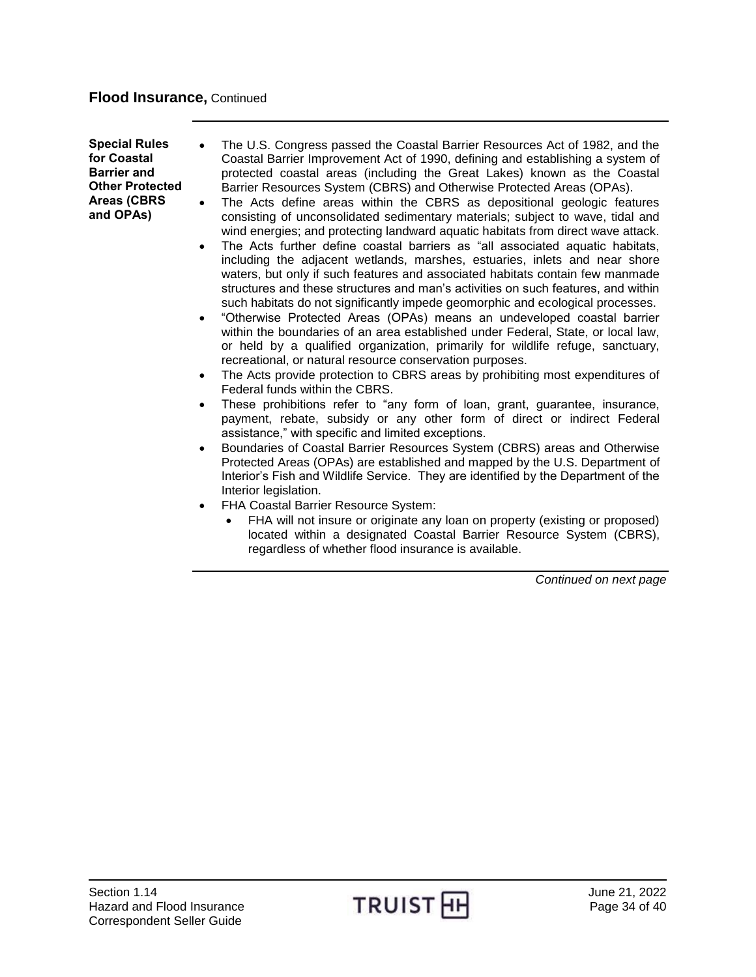<span id="page-33-0"></span>**Special Rules for Coastal Barrier and Other Protected Areas (CBRS and OPAs)**

- The U.S. Congress passed the Coastal Barrier Resources Act of 1982, and the Coastal Barrier Improvement Act of 1990, defining and establishing a system of protected coastal areas (including the Great Lakes) known as the Coastal Barrier Resources System (CBRS) and Otherwise Protected Areas (OPAs).
- The Acts define areas within the CBRS as depositional geologic features consisting of unconsolidated sedimentary materials; subject to wave, tidal and wind energies; and protecting landward aquatic habitats from direct wave attack.
- The Acts further define coastal barriers as "all associated aquatic habitats, including the adjacent wetlands, marshes, estuaries, inlets and near shore waters, but only if such features and associated habitats contain few manmade structures and these structures and man's activities on such features, and within such habitats do not significantly impede geomorphic and ecological processes.
- "Otherwise Protected Areas (OPAs) means an undeveloped coastal barrier within the boundaries of an area established under Federal, State, or local law, or held by a qualified organization, primarily for wildlife refuge, sanctuary, recreational, or natural resource conservation purposes.
- The Acts provide protection to CBRS areas by prohibiting most expenditures of Federal funds within the CBRS.
- These prohibitions refer to "any form of loan, grant, guarantee, insurance, payment, rebate, subsidy or any other form of direct or indirect Federal assistance," with specific and limited exceptions.
- Boundaries of Coastal Barrier Resources System (CBRS) areas and Otherwise Protected Areas (OPAs) are established and mapped by the U.S. Department of Interior's Fish and Wildlife Service. They are identified by the Department of the Interior legislation.
- FHA Coastal Barrier Resource System:
	- FHA will not insure or originate any loan on property (existing or proposed) located within a designated Coastal Barrier Resource System (CBRS), regardless of whether flood insurance is available.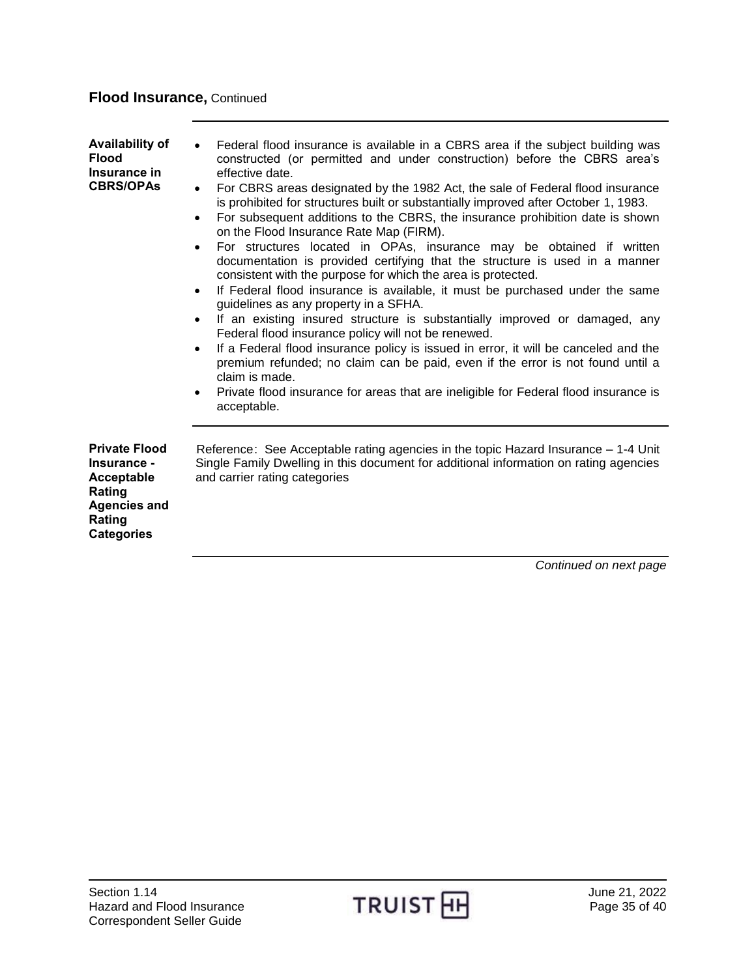<span id="page-34-1"></span><span id="page-34-0"></span>

| Availability of<br><b>Flood</b><br>Insurance in<br><b>CBRS/OPAs</b>                                               | Federal flood insurance is available in a CBRS area if the subject building was<br>constructed (or permitted and under construction) before the CBRS area's<br>effective date.<br>For CBRS areas designated by the 1982 Act, the sale of Federal flood insurance<br>$\bullet$<br>is prohibited for structures built or substantially improved after October 1, 1983.<br>For subsequent additions to the CBRS, the insurance prohibition date is shown<br>$\bullet$<br>on the Flood Insurance Rate Map (FIRM).<br>For structures located in OPAs, insurance may be obtained if written<br>$\bullet$<br>documentation is provided certifying that the structure is used in a manner<br>consistent with the purpose for which the area is protected.<br>If Federal flood insurance is available, it must be purchased under the same<br>$\bullet$<br>guidelines as any property in a SFHA.<br>If an existing insured structure is substantially improved or damaged, any<br>$\bullet$<br>Federal flood insurance policy will not be renewed.<br>If a Federal flood insurance policy is issued in error, it will be canceled and the<br>$\bullet$<br>premium refunded; no claim can be paid, even if the error is not found until a<br>claim is made.<br>Private flood insurance for areas that are ineligible for Federal flood insurance is<br>$\bullet$<br>acceptable. |
|-------------------------------------------------------------------------------------------------------------------|-----------------------------------------------------------------------------------------------------------------------------------------------------------------------------------------------------------------------------------------------------------------------------------------------------------------------------------------------------------------------------------------------------------------------------------------------------------------------------------------------------------------------------------------------------------------------------------------------------------------------------------------------------------------------------------------------------------------------------------------------------------------------------------------------------------------------------------------------------------------------------------------------------------------------------------------------------------------------------------------------------------------------------------------------------------------------------------------------------------------------------------------------------------------------------------------------------------------------------------------------------------------------------------------------------------------------------------------------------------------------|
| <b>Private Flood</b><br>Insurance -<br>Acceptable<br>Rating<br><b>Agencies and</b><br>Rating<br><b>Categories</b> | Reference: See Acceptable rating agencies in the topic Hazard Insurance – 1-4 Unit<br>Single Family Dwelling in this document for additional information on rating agencies<br>and carrier rating categories                                                                                                                                                                                                                                                                                                                                                                                                                                                                                                                                                                                                                                                                                                                                                                                                                                                                                                                                                                                                                                                                                                                                                          |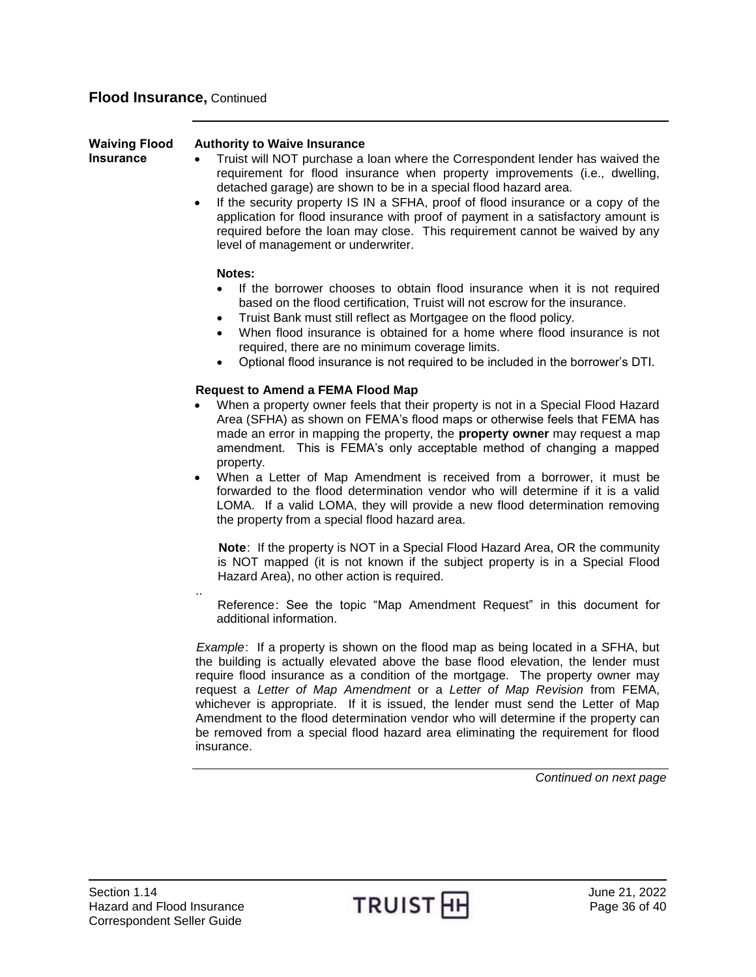<span id="page-35-0"></span>

| <b>Waiving Flood</b><br>Insurance | <b>Authority to Waive Insurance</b><br>Truist will NOT purchase a loan where the Correspondent lender has waived the<br>requirement for flood insurance when property improvements (i.e., dwelling,<br>detached garage) are shown to be in a special flood hazard area.<br>If the security property IS IN a SFHA, proof of flood insurance or a copy of the<br>$\bullet$<br>application for flood insurance with proof of payment in a satisfactory amount is<br>required before the loan may close. This requirement cannot be waived by any<br>level of management or underwriter.                                                                                                 |
|-----------------------------------|--------------------------------------------------------------------------------------------------------------------------------------------------------------------------------------------------------------------------------------------------------------------------------------------------------------------------------------------------------------------------------------------------------------------------------------------------------------------------------------------------------------------------------------------------------------------------------------------------------------------------------------------------------------------------------------|
|                                   | Notes:<br>If the borrower chooses to obtain flood insurance when it is not required<br>based on the flood certification, Truist will not escrow for the insurance.<br>Truist Bank must still reflect as Mortgagee on the flood policy.<br>When flood insurance is obtained for a home where flood insurance is not<br>required, there are no minimum coverage limits.<br>Optional flood insurance is not required to be included in the borrower's DTI.                                                                                                                                                                                                                              |
|                                   | <b>Request to Amend a FEMA Flood Map</b><br>When a property owner feels that their property is not in a Special Flood Hazard<br>Area (SFHA) as shown on FEMA's flood maps or otherwise feels that FEMA has<br>made an error in mapping the property, the <b>property owner</b> may request a map<br>amendment. This is FEMA's only acceptable method of changing a mapped<br>property.<br>When a Letter of Map Amendment is received from a borrower, it must be<br>forwarded to the flood determination vendor who will determine if it is a valid<br>LOMA. If a valid LOMA, they will provide a new flood determination removing<br>the property from a special flood hazard area. |
|                                   | Note: If the property is NOT in a Special Flood Hazard Area, OR the community<br>is NOT mapped (it is not known if the subject property is in a Special Flood<br>Hazard Area), no other action is required.<br>Reference: See the topic "Map Amendment Request" in this document for<br>additional information.                                                                                                                                                                                                                                                                                                                                                                      |
|                                   | Example: If a property is shown on the flood map as being located in a SFHA, but<br>the building is actually elevated above the base flood elevation, the lender must<br>require flood insurance as a condition of the mortgage. The property owner may                                                                                                                                                                                                                                                                                                                                                                                                                              |

require flood insurance as a condition of the mortgage. The property owner may request a *Letter of Map Amendment* or a *Letter of Map Revision* from FEMA, whichever is appropriate. If it is issued, the lender must send the Letter of Map Amendment to the flood determination vendor who will determine if the property can be removed from a special flood hazard area eliminating the requirement for flood insurance.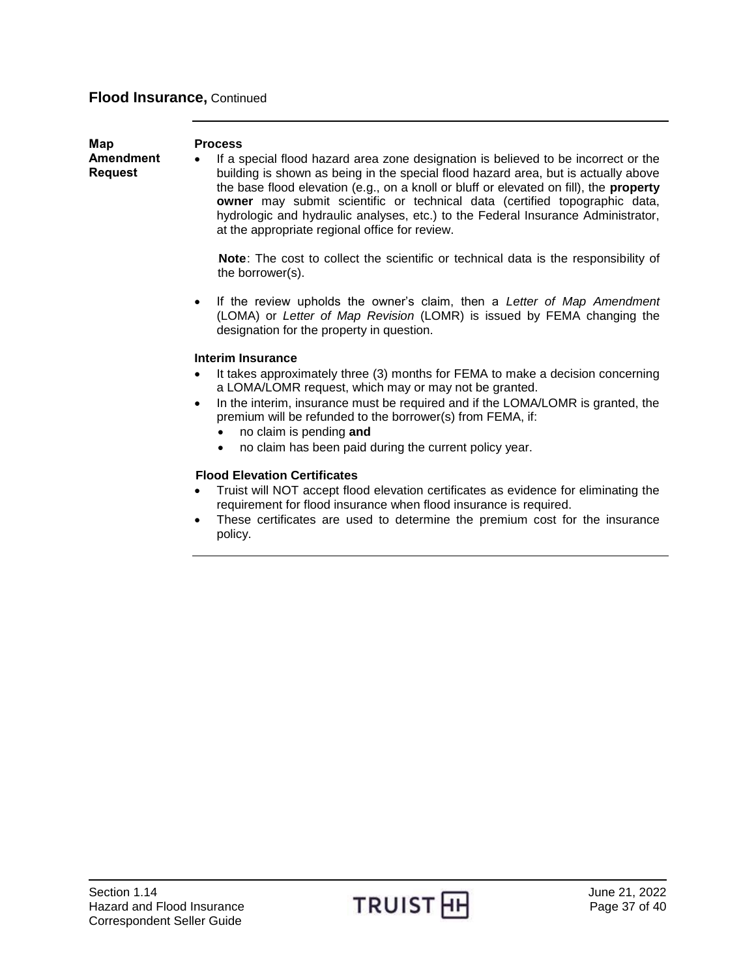<span id="page-36-0"></span>

| Map                                | <b>Process</b>                                                                                                                                                                                                                                                                                                                                                                                                                                                                                             |
|------------------------------------|------------------------------------------------------------------------------------------------------------------------------------------------------------------------------------------------------------------------------------------------------------------------------------------------------------------------------------------------------------------------------------------------------------------------------------------------------------------------------------------------------------|
| <b>Amendment</b><br><b>Request</b> | If a special flood hazard area zone designation is believed to be incorrect or the<br>$\bullet$<br>building is shown as being in the special flood hazard area, but is actually above<br>the base flood elevation (e.g., on a knoll or bluff or elevated on fill), the <b>property</b><br>owner may submit scientific or technical data (certified topographic data,<br>hydrologic and hydraulic analyses, etc.) to the Federal Insurance Administrator,<br>at the appropriate regional office for review. |
|                                    | Note: The cost to collect the scientific or technical data is the responsibility of<br>the borrower(s).                                                                                                                                                                                                                                                                                                                                                                                                    |
|                                    | If the review upholds the owner's claim, then a Letter of Map Amendment<br>$\bullet$<br>(LOMA) or Letter of Map Revision (LOMR) is issued by FEMA changing the<br>designation for the property in question.                                                                                                                                                                                                                                                                                                |
|                                    | <b>Interim Insurance</b>                                                                                                                                                                                                                                                                                                                                                                                                                                                                                   |
|                                    | It takes approximately three (3) months for FEMA to make a decision concerning<br>$\bullet$<br>a LOMA/LOMR request, which may or may not be granted.                                                                                                                                                                                                                                                                                                                                                       |
|                                    | In the interim, insurance must be required and if the LOMA/LOMR is granted, the<br>$\bullet$<br>premium will be refunded to the borrower(s) from FEMA, if:                                                                                                                                                                                                                                                                                                                                                 |
|                                    | no claim is pending and                                                                                                                                                                                                                                                                                                                                                                                                                                                                                    |
|                                    | no claim has been paid during the current policy year.                                                                                                                                                                                                                                                                                                                                                                                                                                                     |

### **Flood Elevation Certificates**

- Truist will NOT accept flood elevation certificates as evidence for eliminating the requirement for flood insurance when flood insurance is required.
- These certificates are used to determine the premium cost for the insurance policy.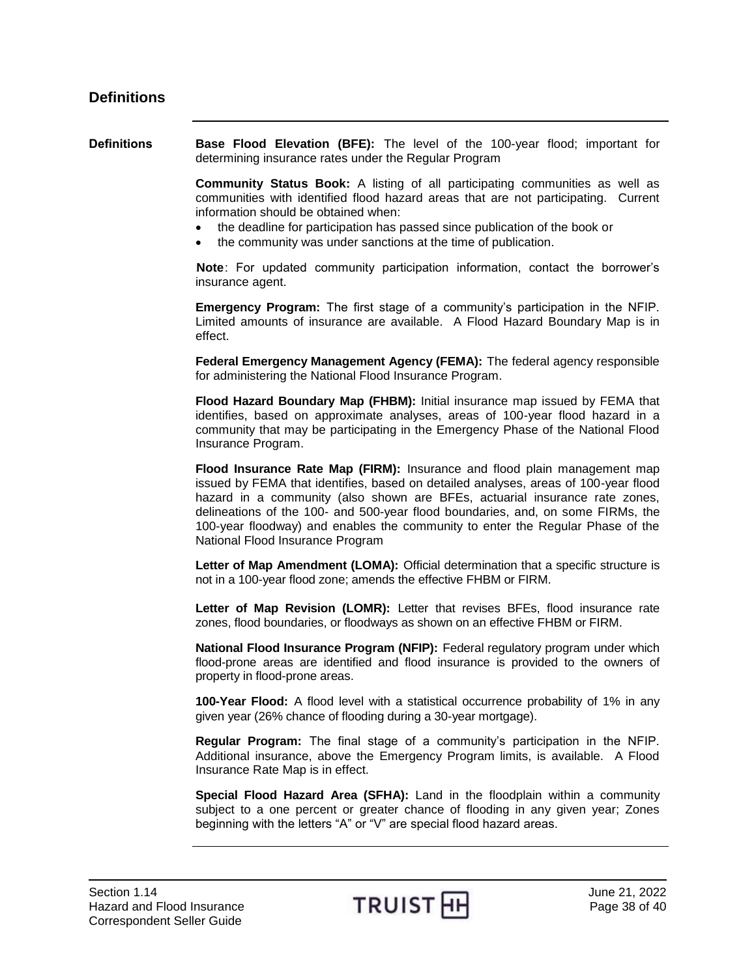<span id="page-37-1"></span><span id="page-37-0"></span>**Definitions Base Flood Elevation (BFE):** The level of the 100-year flood; important for determining insurance rates under the Regular Program

> **Community Status Book:** A listing of all participating communities as well as communities with identified flood hazard areas that are not participating. Current information should be obtained when:

- the deadline for participation has passed since publication of the book or
- the community was under sanctions at the time of publication.

**Note**: For updated community participation information, contact the borrower's insurance agent.

**Emergency Program:** The first stage of a community's participation in the NFIP. Limited amounts of insurance are available. A Flood Hazard Boundary Map is in effect.

**Federal Emergency Management Agency (FEMA):** The federal agency responsible for administering the National Flood Insurance Program.

**Flood Hazard Boundary Map (FHBM):** Initial insurance map issued by FEMA that identifies, based on approximate analyses, areas of 100-year flood hazard in a community that may be participating in the Emergency Phase of the National Flood Insurance Program.

**Flood Insurance Rate Map (FIRM):** Insurance and flood plain management map issued by FEMA that identifies, based on detailed analyses, areas of 100-year flood hazard in a community (also shown are BFEs, actuarial insurance rate zones, delineations of the 100- and 500-year flood boundaries, and, on some FIRMs, the 100-year floodway) and enables the community to enter the Regular Phase of the National Flood Insurance Program

**Letter of Map Amendment (LOMA):** Official determination that a specific structure is not in a 100-year flood zone; amends the effective FHBM or FIRM.

Letter of Map Revision (LOMR): Letter that revises BFEs, flood insurance rate zones, flood boundaries, or floodways as shown on an effective FHBM or FIRM.

**National Flood Insurance Program (NFIP):** Federal regulatory program under which flood-prone areas are identified and flood insurance is provided to the owners of property in flood-prone areas.

**100-Year Flood:** A flood level with a statistical occurrence probability of 1% in any given year (26% chance of flooding during a 30-year mortgage).

**Regular Program:** The final stage of a community's participation in the NFIP. Additional insurance, above the Emergency Program limits, is available. A Flood Insurance Rate Map is in effect.

**Special Flood Hazard Area (SFHA):** Land in the floodplain within a community subject to a one percent or greater chance of flooding in any given year; Zones beginning with the letters "A" or "V" are special flood hazard areas.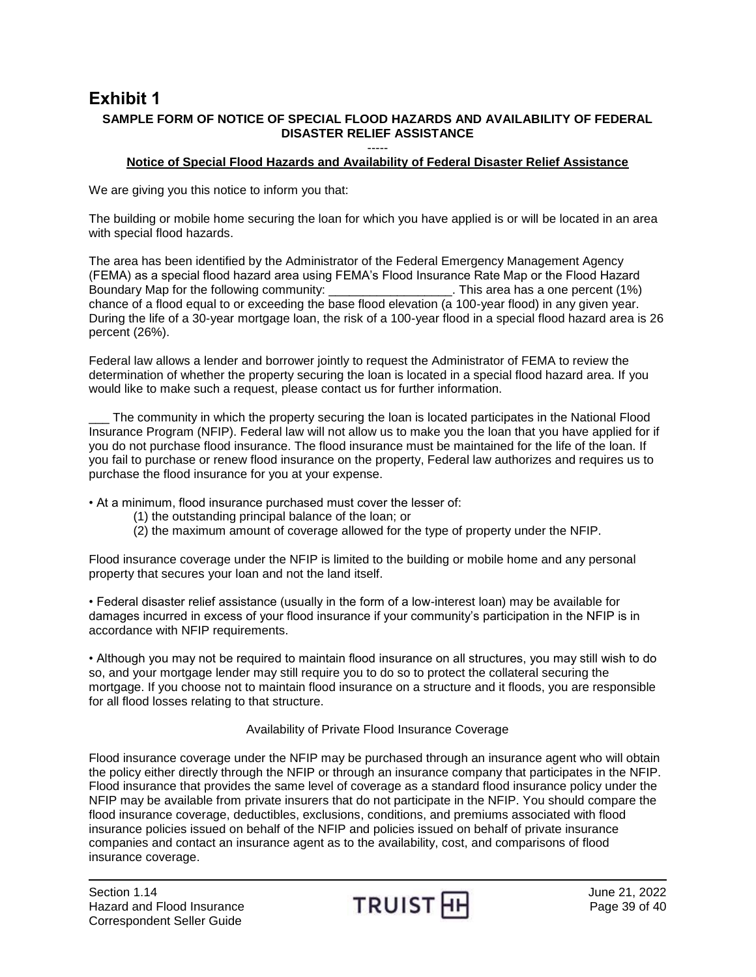## <span id="page-38-0"></span>**Exhibit 1 SAMPLE FORM OF NOTICE OF SPECIAL FLOOD HAZARDS AND AVAILABILITY OF FEDERAL DISASTER RELIEF ASSISTANCE**

#### ----- **Notice of Special Flood Hazards and Availability of Federal Disaster Relief Assistance**

We are giving you this notice to inform you that:

The building or mobile home securing the loan for which you have applied is or will be located in an area with special flood hazards.

The area has been identified by the Administrator of the Federal Emergency Management Agency (FEMA) as a special flood hazard area using FEMA's Flood Insurance Rate Map or the Flood Hazard Boundary Map for the following community: \_\_\_\_\_\_\_\_\_\_\_\_\_\_\_\_\_\_\_\_\_. This area has a one percent (1%) chance of a flood equal to or exceeding the base flood elevation (a 100-year flood) in any given year. During the life of a 30-year mortgage loan, the risk of a 100-year flood in a special flood hazard area is 26 percent (26%).

Federal law allows a lender and borrower jointly to request the Administrator of FEMA to review the determination of whether the property securing the loan is located in a special flood hazard area. If you would like to make such a request, please contact us for further information.

The community in which the property securing the loan is located participates in the National Flood Insurance Program (NFIP). Federal law will not allow us to make you the loan that you have applied for if you do not purchase flood insurance. The flood insurance must be maintained for the life of the loan. If you fail to purchase or renew flood insurance on the property, Federal law authorizes and requires us to purchase the flood insurance for you at your expense.

• At a minimum, flood insurance purchased must cover the lesser of:

- (1) the outstanding principal balance of the loan; or
- (2) the maximum amount of coverage allowed for the type of property under the NFIP.

Flood insurance coverage under the NFIP is limited to the building or mobile home and any personal property that secures your loan and not the land itself.

• Federal disaster relief assistance (usually in the form of a low-interest loan) may be available for damages incurred in excess of your flood insurance if your community's participation in the NFIP is in accordance with NFIP requirements.

• Although you may not be required to maintain flood insurance on all structures, you may still wish to do so, and your mortgage lender may still require you to do so to protect the collateral securing the mortgage. If you choose not to maintain flood insurance on a structure and it floods, you are responsible for all flood losses relating to that structure.

### Availability of Private Flood Insurance Coverage

Flood insurance coverage under the NFIP may be purchased through an insurance agent who will obtain the policy either directly through the NFIP or through an insurance company that participates in the NFIP. Flood insurance that provides the same level of coverage as a standard flood insurance policy under the NFIP may be available from private insurers that do not participate in the NFIP. You should compare the flood insurance coverage, deductibles, exclusions, conditions, and premiums associated with flood insurance policies issued on behalf of the NFIP and policies issued on behalf of private insurance companies and contact an insurance agent as to the availability, cost, and comparisons of flood insurance coverage.